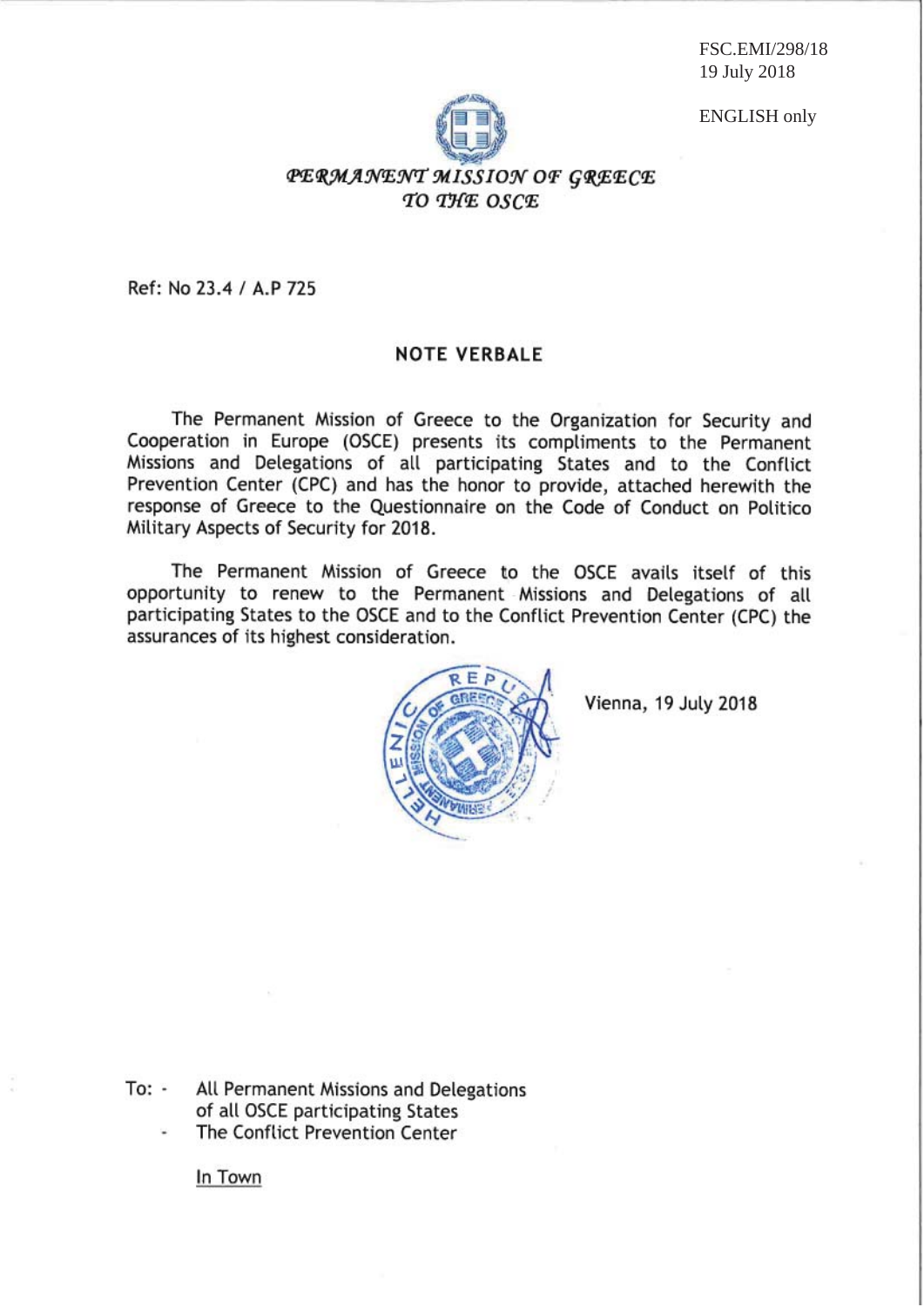FSC.EMI/298/18 19 July 2018

ENGLISH only



## PERMANENT MISSION OF GREECE TO THE OSCE

Ref: No 23.4 / A.P 725

#### **NOTE VERBALE**

The Permanent Mission of Greece to the Organization for Security and Cooperation in Europe (OSCE) presents its compliments to the Permanent Missions and Delegations of all participating States and to the Conflict Prevention Center (CPC) and has the honor to provide, attached herewith the response of Greece to the Questionnaire on the Code of Conduct on Politico Military Aspects of Security for 2018.

The Permanent Mission of Greece to the OSCE avails itself of this opportunity to renew to the Permanent Missions and Delegations of all participating States to the OSCE and to the Conflict Prevention Center (CPC) the assurances of its highest consideration.



Vienna, 19 July 2018

To: -All Permanent Missions and Delegations of all OSCE participating States

The Conflict Prevention Center

In Town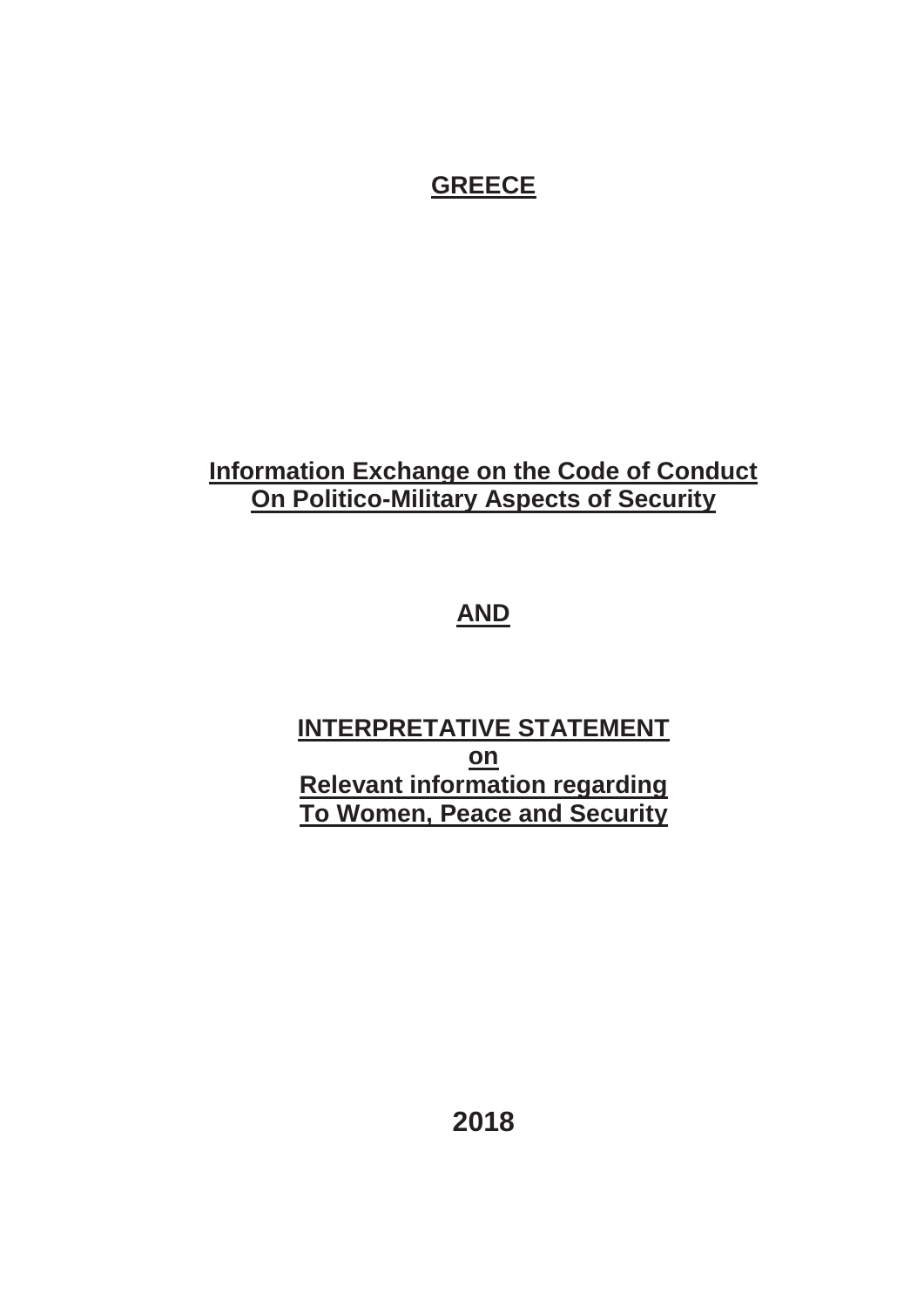# **GREECE**

# **Information Exchange on the Code of Conduct On Politico-Military Aspects of Security**

# **AND**

# **INTERPRETATIVE STATEMENT on Relevant information regarding To Women, Peace and Security**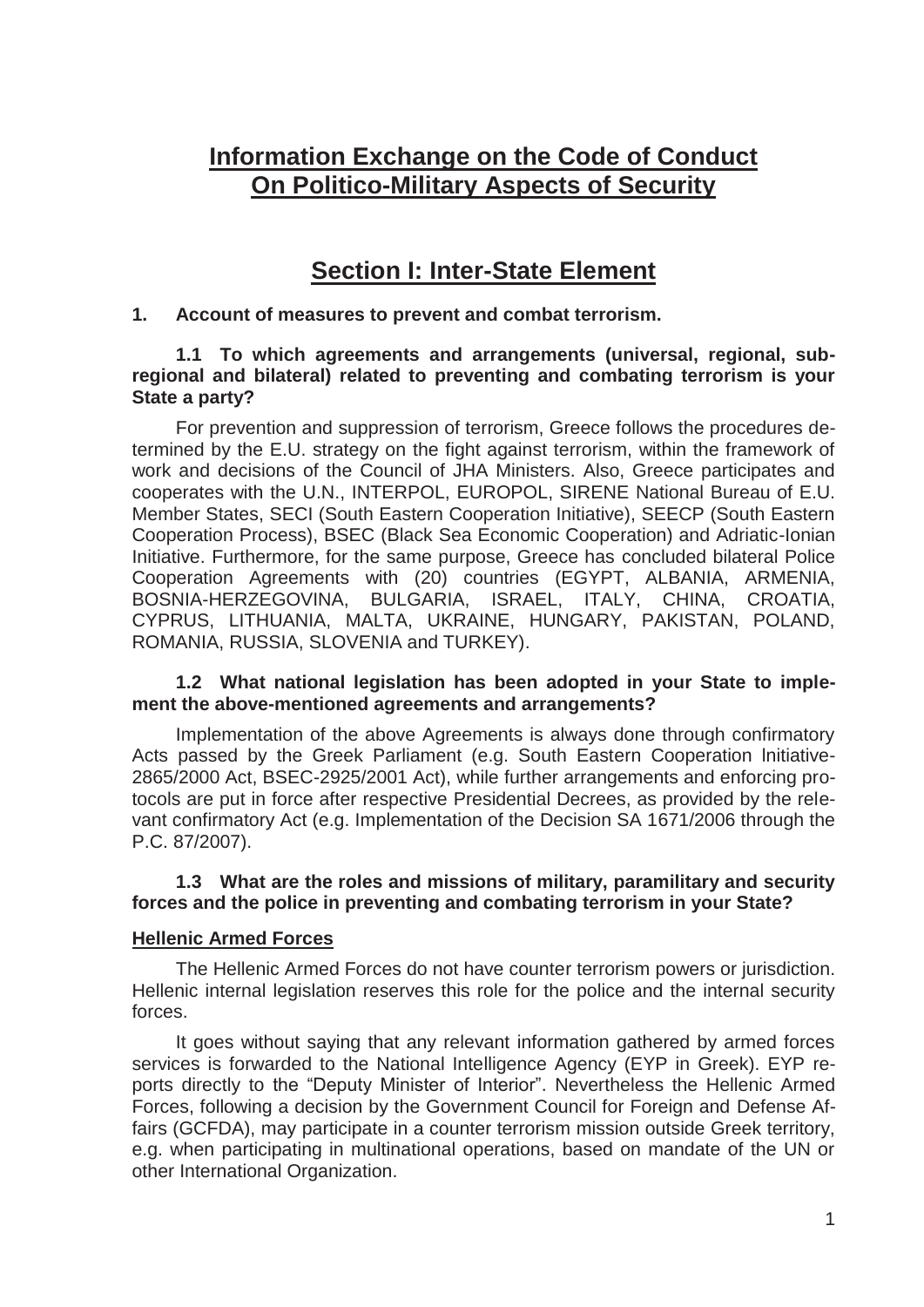## **Information Exchange on the Code of Conduct On Politico-Military Aspects of Security**

## **Section I: Inter-State Element**

## **1. Account of measures to prevent and combat terrorism.**

### **1.1 To which agreements and arrangements (universal, regional, subregional and bilateral) related to preventing and combating terrorism is your State a party?**

 For prevention and suppression of terrorism, Greece follows the procedures determined by the E.U. strategy on the fight against terrorism, within the framework of work and decisions of the Council of JHA Ministers. Also, Greece participates and cooperates with the U.N., INTERPOL, EUROPOL, SIRENE National Bureau of E.U. Member States, SECI (South Eastern Cooperation Initiative), SEECP (South Eastern Cooperation Process), BSEC (Black Sea Economic Cooperation) and Adriatic-Ionian Initiative. Furthermore, for the same purpose, Greece has concluded bilateral Police Cooperation Agreements with (20) countries (EGYPT, ALBANIA, ARMENIA, BOSNIA-HERZEGOVINA, BULGARIA, ISRAEL, ITALY, CHINA, CROATIA, CYPRUS, LITHUANIA, MALTA, UKRAINE, HUNGARY, PAKISTAN, POLAND, ROMANIA, RUSSIA, SLOVENIA and TURKEY).

#### **1.2 What national legislation has been adopted in your State to implement the above-mentioned agreements and arrangements?**

 Implementation of the above Agreements is always done through confirmatory Acts passed by the Greek Parliament (e.g. South Eastern Cooperation lnitiative-2865/2000 Act, BSEC-2925/2001 Act), while further arrangements and enforcing protocols are put in force after respective Presidential Decrees, as provided by the relevant confirmatory Act (e.g. Implementation of the Decision SA 1671/2006 through the P.C. 87/2007).

### **1.3 What are the roles and missions of military, paramilitary and security forces and the police in preventing and combating terrorism in your State?**

#### **Hellenic Armed Forces**

 The Hellenic Armed Forces do not have counter terrorism powers or jurisdiction. Hellenic internal legislation reserves this role for the police and the internal security forces.

 It goes without saying that any relevant information gathered by armed forces services is forwarded to the National Intelligence Agency (EYP in Greek). EYP reports directly to the "Deputy Minister of Interior". Nevertheless the Hellenic Armed Forces, following a decision by the Government Council for Foreign and Defense Affairs (GCFDA), may participate in a counter terrorism mission outside Greek territory, e.g. when participating in multinational operations, based on mandate of the UN or other International Organization.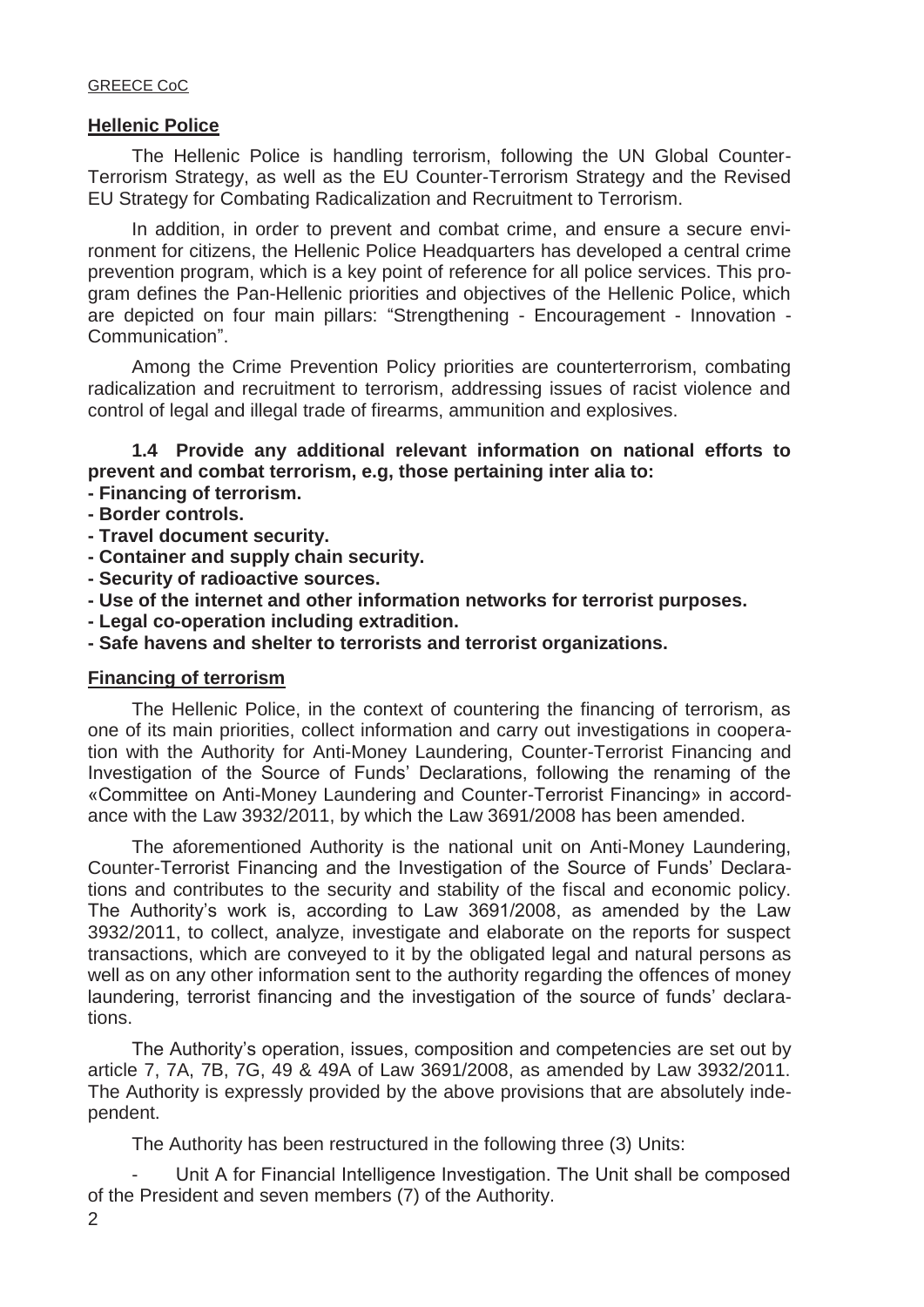#### **Hellenic Police**

 The Hellenic Police is handling terrorism, following the UN Global Counter-Terrorism Strategy, as well as the EU Counter-Terrorism Strategy and the Revised EU Strategy for Combating Radicalization and Recruitment to Terrorism.

 In addition, in order to prevent and combat crime, and ensure a secure environment for citizens, the Hellenic Police Headquarters has developed a central crime prevention program, which is a key point of reference for all police services. This program defines the Pan-Hellenic priorities and objectives of the Hellenic Police, which are depicted on four main pillars: "Strengthening - Encouragement - Innovation - Communication".

 Among the Crime Prevention Policy priorities are counterterrorism, combating radicalization and recruitment to terrorism, addressing issues of racist violence and control of legal and illegal trade of firearms, ammunition and explosives.

## **1.4 Provide any additional relevant information on national efforts to prevent and combat terrorism, e.g, those pertaining inter alia to:**

- **Financing of terrorism.**
- **Border controls.**
- **Travel document security.**
- **Container and supply chain security.**
- **Security of radioactive sources.**
- **Use of the internet and other information networks for terrorist purposes.**
- **Legal co-operation including extradition.**
- **Safe havens and shelter to terrorists and terrorist organizations.**

#### **Financing of terrorism**

 The Hellenic Police, in the context of countering the financing of terrorism, as one of its main priorities, collect information and carry out investigations in cooperation with the Authority for Anti-Money Laundering, Counter-Terrorist Financing and Investigation of the Source of Funds' Declarations, following the renaming of the «Committee on Anti-Money Laundering and Counter-Terrorist Financing» in accordance with the Law 3932/2011, by which the Law 3691/2008 has been amended.

 The aforementioned Authority is the national unit on Anti-Money Laundering, Counter-Terrorist Financing and the Investigation of the Source of Funds' Declarations and contributes to the security and stability of the fiscal and economic policy. The Authority's work is, according to Law 3691/2008, as amended by the Law 3932/2011, to collect, analyze, investigate and elaborate on the reports for suspect transactions, which are conveyed to it by the obligated legal and natural persons as well as on any other information sent to the authority regarding the offences of money laundering, terrorist financing and the investigation of the source of funds' declarations.

The Authority's operation, issues, composition and competencies are set out by article 7, 7A, 7B, 7G, 49 & 49A of Law 3691/2008, as amended by Law 3932/2011. The Authority is expressly provided by the above provisions that are absolutely independent.

The Authority has been restructured in the following three (3) Units:

- Unit A for Financial Intelligence Investigation. The Unit shall be composed of the President and seven members (7) of the Authority.
- 2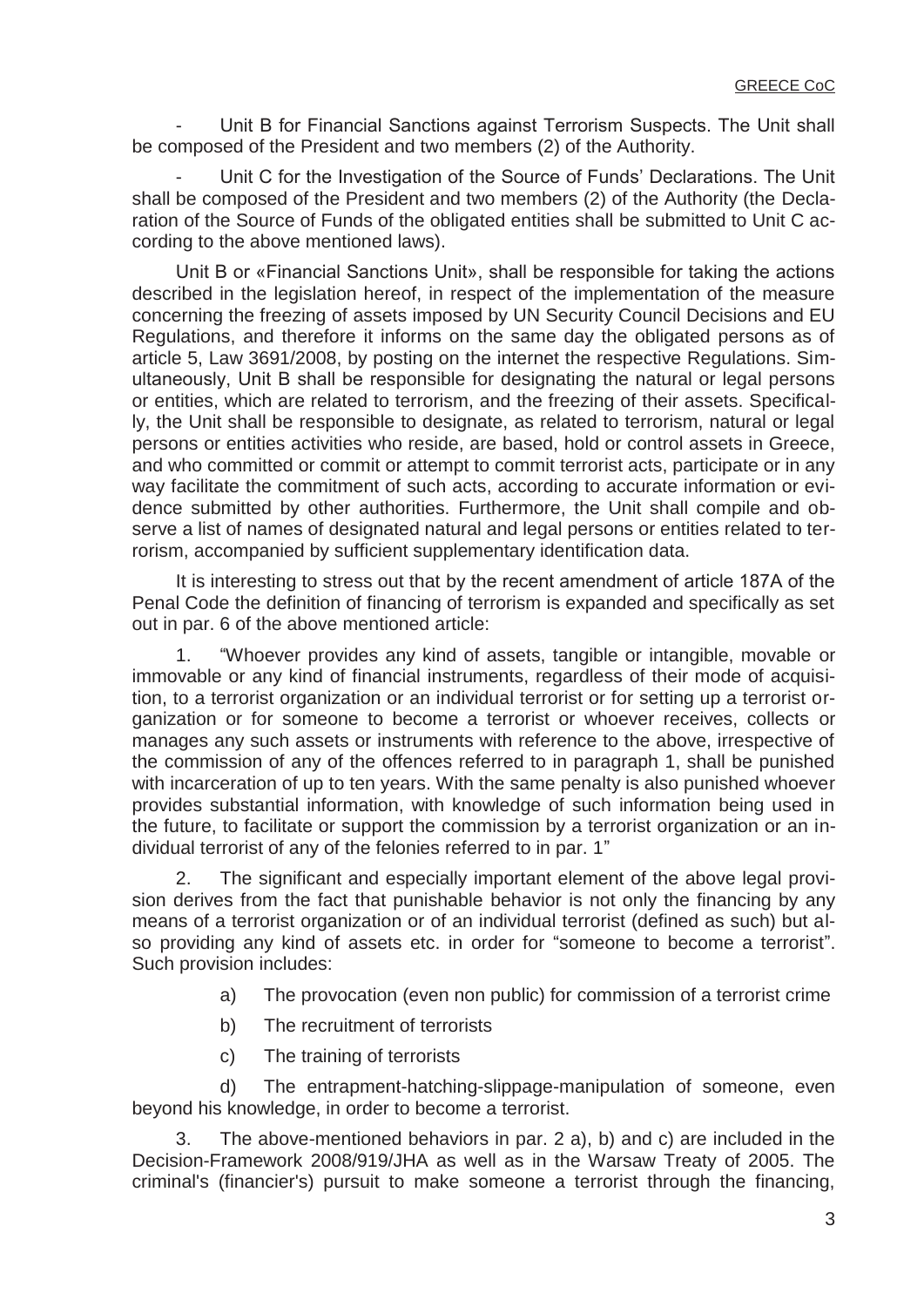Unit B for Financial Sanctions against Terrorism Suspects. The Unit shall be composed of the President and two members (2) of the Authority.

 - Unit C for the Investigation of the Source of Funds' Declarations. The Unit shall be composed of the President and two members (2) of the Authority (the Declaration of the Source of Funds of the obligated entities shall be submitted to Unit C according to the above mentioned laws).

Unit B or «Financial Sanctions Unit», shall be responsible for taking the actions described in the legislation hereof, in respect of the implementation of the measure concerning the freezing of assets imposed by UN Security Council Decisions and EU Regulations, and therefore it informs on the same day the obligated persons as of article 5, Law 3691/2008, by posting on the internet the respective Regulations. Simultaneously, Unit Β shall be responsible for designating the natural or legal persons or entities, which are related to terrorism, and the freezing of their assets. Specifically, the Unit shall be responsible to designate, as related to terrorism, natural or legal persons or entities activities who reside, are based, hold or control assets in Greece, and who committed or commit or attempt to commit terrorist acts, participate or in any way facilitate the commitment of such acts, according to accurate information or evidence submitted by other authorities. Furthermore, the Unit shall compile and observe a list of names of designated natural and legal persons or entities related to terrorism, accompanied by sufficient supplementary identification data.

It is interesting to stress out that by the recent amendment of article 187A of the Penal Code the definition of financing of terrorism is expanded and specifically as set out in par. 6 of the above mentioned article:

 1. "Whoever provides any kind of assets, tangible or intangible, movable or immovable or any kind of financial instruments, regardless of their mode of acquisition, to a terrorist organization or an individual terrorist or for setting up a terrorist organization or for someone to become a terrorist or whoever receives, collects or manages any such assets or instruments with reference to the above, irrespective of the commission of any of the offences referred to in paragraph 1, shall be punished with incarceration of up to ten years. With the same penalty is also punished whoever provides substantial information, with knowledge of such information being used in the future, to facilitate or support the commission by a terrorist organization or an individual terrorist of any of the felonies referred to in par. 1"

 2. The significant and especially important element of the above legal provision derives from the fact that punishable behavior is not only the financing by any means of a terrorist organization or of an individual terrorist (defined as such) but also providing any kind of assets etc. in order for "someone to become a terrorist". Such provision includes:

- a) The provocation (even non public) for commission of a terrorist crime
- b) The recruitment of terrorists
- c) The training of terrorists

 d) The entrapment-hatching-slippage-manipulation of someone, even beyond his knowledge, in order to become a terrorist.

 3. The above-mentioned behaviors in par. 2 a), b) and c) are included in the Decision-Framework 2008/919/JHA as well as in the Warsaw Treaty of 2005. The criminal's (financier's) pursuit to make someone a terrorist through the financing,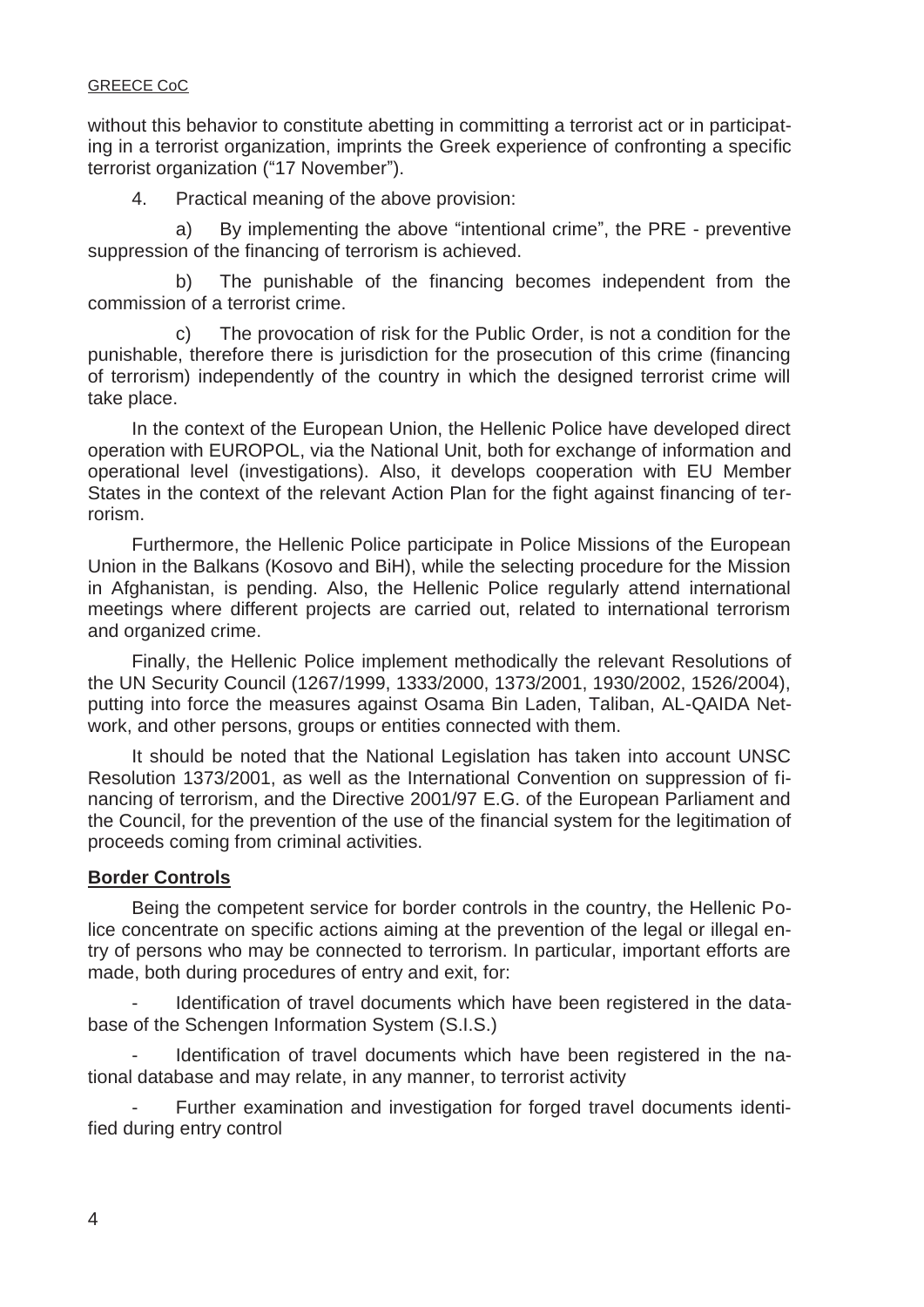without this behavior to constitute abetting in committing a terrorist act or in participating in a terrorist organization, imprints the Greek experience of confronting a specific terrorist organization ("17 November").

4. Practical meaning of the above provision:

 a) By implementing the above "intentional crime", the PRE - preventive suppression of the financing of terrorism is achieved.

 b) The punishable of the financing becomes independent from the commission of a terrorist crime.

 c) The provocation of risk for the Public Order, is not a condition for the punishable, therefore there is jurisdiction for the prosecution of this crime (financing of terrorism) independently of the country in which the designed terrorist crime will take place.

 In the context of the European Union, the Hellenic Police have developed direct operation with EUROPOL, via the National Unit, both for exchange of information and operational level (investigations). Also, it develops cooperation with EU Member States in the context of the relevant Action Plan for the fight against financing of terrorism.

 Furthermore, the Hellenic Police participate in Police Missions of the European Union in the Balkans (Kosovo and BiH), while the selecting procedure for the Mission in Afghanistan, is pending. Also, the Hellenic Police regularly attend international meetings where different projects are carried out, related to international terrorism and organized crime.

 Finally, the Hellenic Police implement methodically the relevant Resolutions of the UN Security Council (1267/1999, 1333/2000, 1373/2001, 1930/2002, 1526/2004), putting into force the measures against Osama Bin Laden, Taliban, AL-QAIDA Network, and other persons, groups or entities connected with them.

 It should be noted that the National Legislation has taken into account UNSC Resolution 1373/2001, as well as the International Convention on suppression of financing of terrorism, and the Directive 2001/97 E.G. of the European Parliament and the Council, for the prevention of the use of the financial system for the legitimation of proceeds coming from criminal activities.

## **Border Controls**

 Being the competent service for border controls in the country, the Hellenic Police concentrate on specific actions aiming at the prevention of the legal or illegal entry of persons who may be connected to terrorism. In particular, important efforts are made, both during procedures of entry and exit, for:

Identification of travel documents which have been registered in the database of the Schengen Information System (S.I.S.)

Identification of travel documents which have been registered in the national database and may relate, in any manner, to terrorist activity

Further examination and investigation for forged travel documents identified during entry control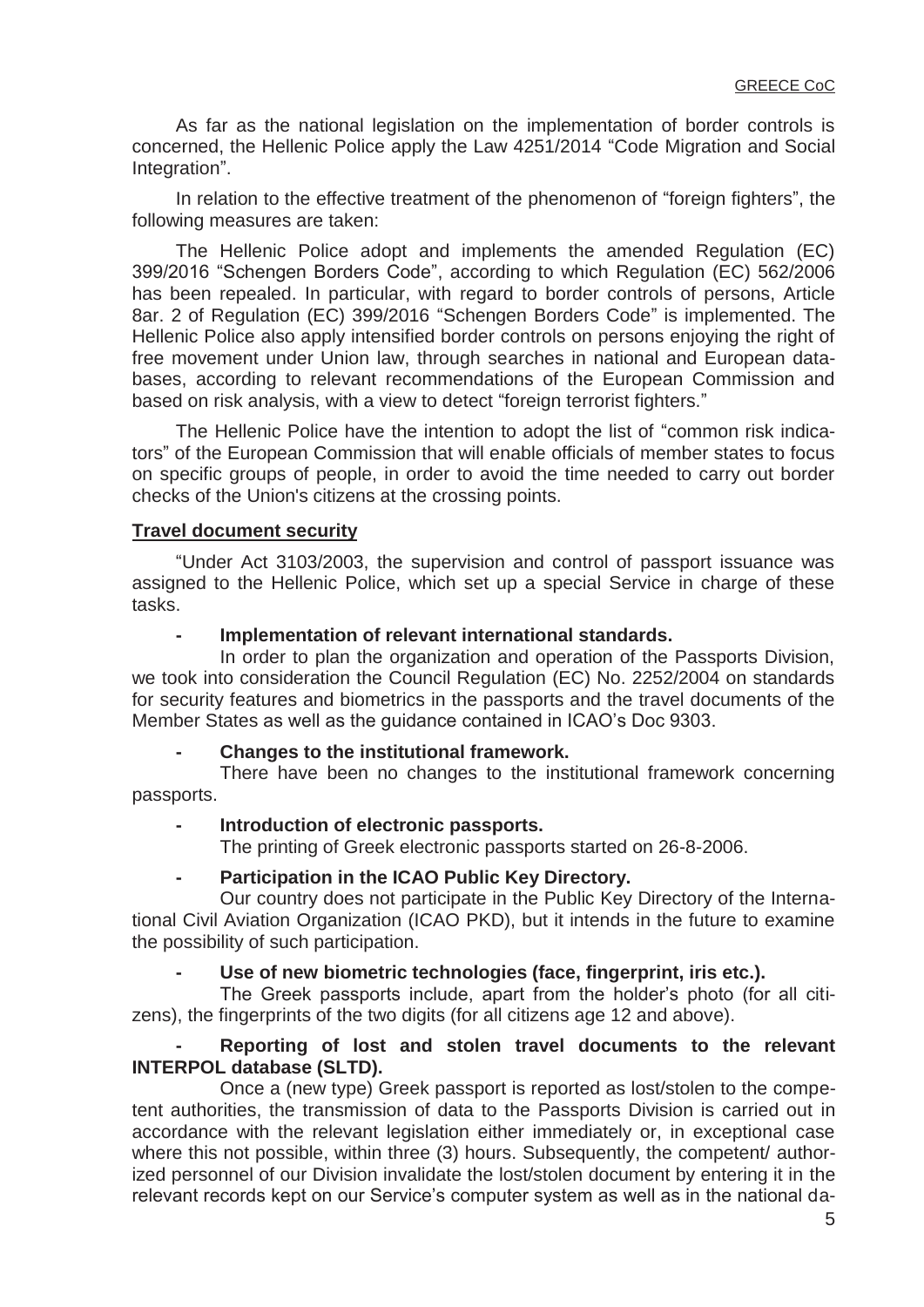As far as the national legislation on the implementation of border controls is concerned, the Hellenic Police apply the Law 4251/2014 "Code Migration and Social Integration".

In relation to the effective treatment of the phenomenon of "foreign fighters", the following measures are taken:

 The Hellenic Police adopt and implements the amended Regulation (EC) 399/2016 "Schengen Borders Code", according to which Regulation (EC) 562/2006 has been repealed. In particular, with regard to border controls of persons, Article 8ar. 2 of Regulation (EC) 399/2016 "Schengen Borders Code" is implemented. The Hellenic Police also apply intensified border controls on persons enjoying the right of free movement under Union law, through searches in national and European databases, according to relevant recommendations of the European Commission and based on risk analysis, with a view to detect "foreign terrorist fighters."

 The Hellenic Police have the intention to adopt the list of "common risk indicators" of the European Commission that will enable officials of member states to focus on specific groups of people, in order to avoid the time needed to carry out border checks of the Union's citizens at the crossing points.

### **Travel document security**

"Under Act 3103/2003, the supervision and control of passport issuance was assigned to the Hellenic Police, which set up a special Service in charge of these tasks.

#### **- Implementation of relevant international standards.**

 In order to plan the organization and operation of the Passports Division, we took into consideration the Council Regulation (EC) No. 2252/2004 on standards for security features and biometrics in the passports and the travel documents of the Member States as well as the guidance contained in ICAO's Doc 9303.

#### **Changes to the institutional framework.**

 There have been no changes to the institutional framework concerning passports.

#### Introduction of electronic passports.

The printing of Greek electronic passports started on 26-8-2006.

#### **Participation in the ICAO Public Key Directory.**

 Our country does not participate in the Public Key Directory of the International Civil Aviation Organization (ICAO PKD), but it intends in the future to examine the possibility of such participation.

## Use of new biometric technologies (face, fingerprint, iris etc.).

 The Greek passports include, apart from the holder's photo (for all citizens), the fingerprints of the two digits (for all citizens age 12 and above).

### Reporting of lost and stolen travel documents to the relevant **INTERPOL database (SLTD).**

 Once a (new type) Greek passport is reported as lost/stolen to the competent authorities, the transmission of data to the Passports Division is carried out in accordance with the relevant legislation either immediately or, in exceptional case where this not possible, within three (3) hours. Subsequently, the competent/ authorized personnel of our Division invalidate the lost/stolen document by entering it in the relevant records kept on our Service's computer system as well as in the national da-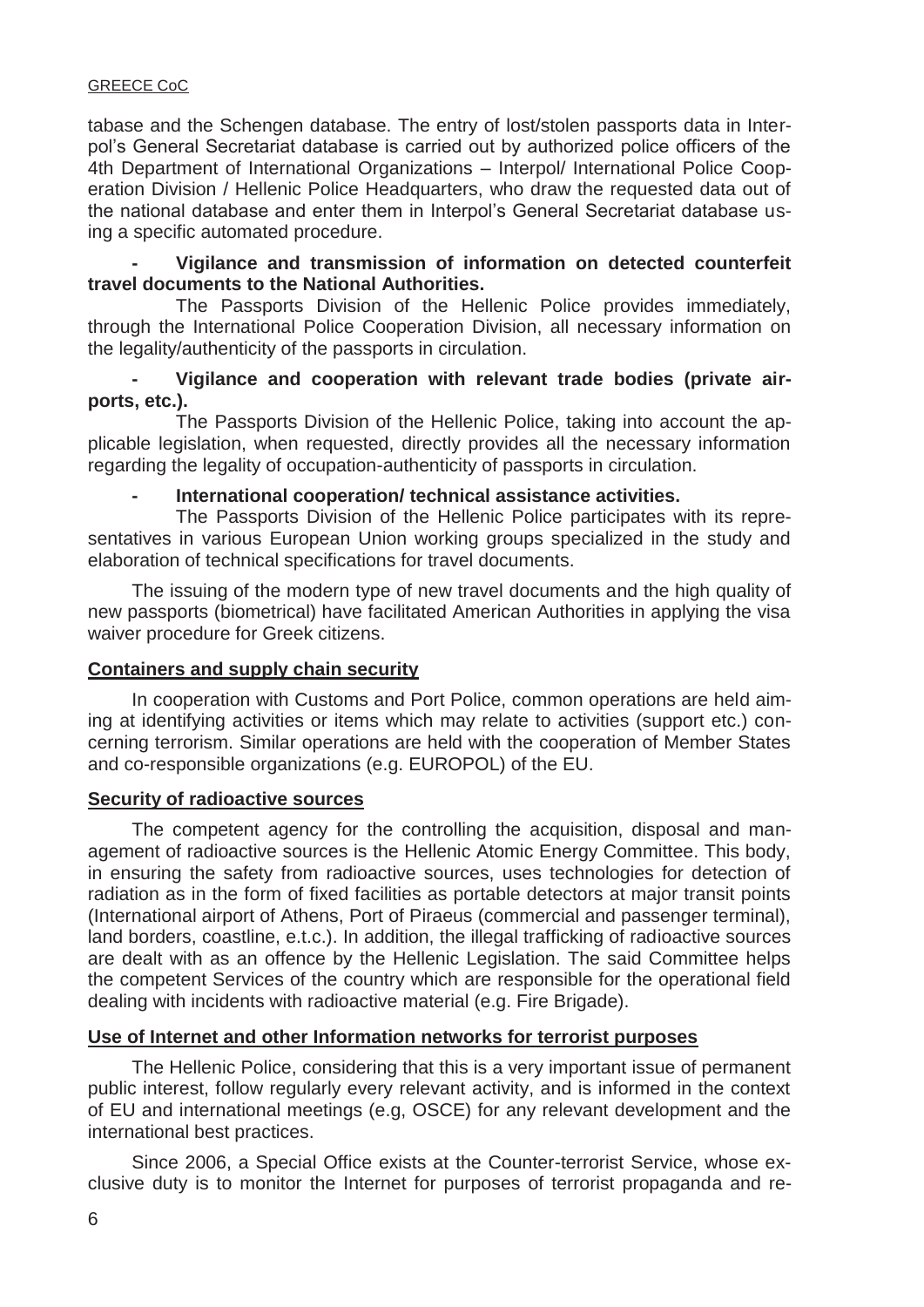tabase and the Schengen database. The entry of lost/stolen passports data in Interpol's General Secretariat database is carried out by authorized police officers of the 4th Department of International Organizations – Interpol/ International Police Cooperation Division / Hellenic Police Headquarters, who draw the requested data out of the national database and enter them in Interpol's General Secretariat database using a specific automated procedure.

### **Vigilance and transmission of information on detected counterfeit travel documents to the National Authorities.**

 The Passports Division of the Hellenic Police provides immediately, through the International Police Cooperation Division, all necessary information on the legality/authenticity of the passports in circulation.

## **- Vigilance and cooperation with relevant trade bodies (private airports, etc.).**

 The Passports Division of the Hellenic Police, taking into account the applicable legislation, when requested, directly provides all the necessary information regarding the legality of occupation-authenticity of passports in circulation.

## International cooperation/ technical assistance activities.

 The Passports Division of the Hellenic Police participates with its representatives in various European Union working groups specialized in the study and elaboration of technical specifications for travel documents.

 The issuing of the modern type of new travel documents and the high quality of new passports (biometrical) have facilitated American Authorities in applying the visa waiver procedure for Greek citizens.

#### **Containers and supply chain security**

 In cooperation with Customs and Port Police, common operations are held aiming at identifying activities or items which may relate to activities (support etc.) concerning terrorism. Similar operations are held with the cooperation of Member States and co-responsible organizations (e.g. EUROPOL) of the EU.

#### **Security of radioactive sources**

 The competent agency for the controlling the acquisition, disposal and management of radioactive sources is the Hellenic Atomic Energy Committee. This body, in ensuring the safety from radioactive sources, uses technologies for detection of radiation as in the form of fixed facilities as portable detectors at major transit points (International airport of Athens, Port of Piraeus (commercial and passenger terminal), land borders, coastline, e.t.c.). In addition, the illegal trafficking of radioactive sources are dealt with as an offence by the Hellenic Legislation. The said Committee helps the competent Services of the country which are responsible for the operational field dealing with incidents with radioactive material (e.g. Fire Brigade).

## **Use of Internet and other Information networks for terrorist purposes**

 The Hellenic Police, considering that this is a very important issue of permanent public interest, follow regularly every relevant activity, and is informed in the context of EU and international meetings (e.g, OSCE) for any relevant development and the international best practices.

 Since 2006, a Special Office exists at the Counter-terrorist Service, whose exclusive duty is to monitor the Internet for purposes of terrorist propaganda and re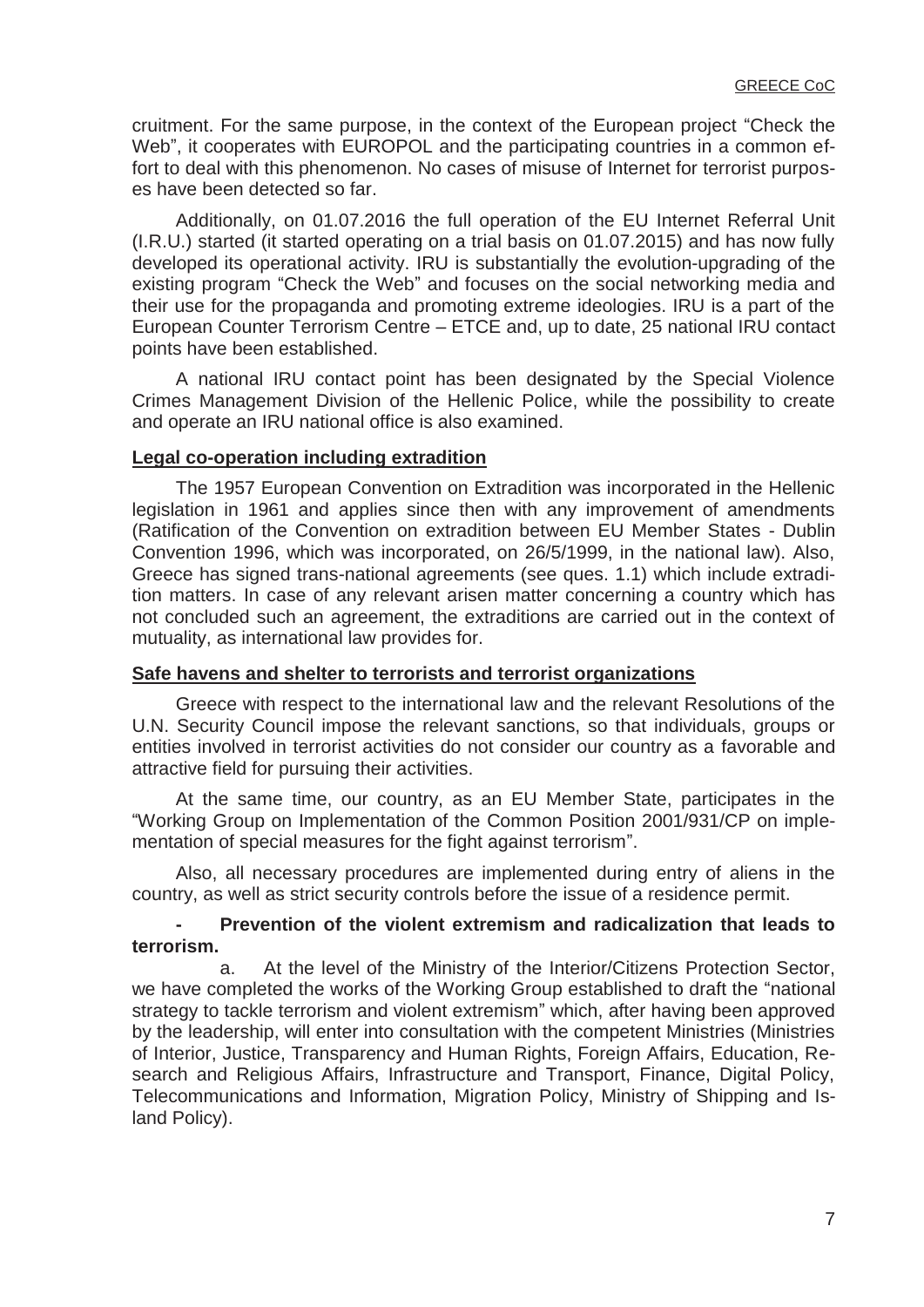cruitment. For the same purpose, in the context of the European project "Check the Web", it cooperates with EUROPOL and the participating countries in a common effort to deal with this phenomenon. No cases of misuse of Internet for terrorist purposes have been detected so far.

 Additionally, on 01.07.2016 the full operation of the EU Internet Referral Unit (I.R.U.) started (it started operating on a trial basis on 01.07.2015) and has now fully developed its operational activity. IRU is substantially the evolution-upgrading of the existing program "Check the Web" and focuses on the social networking media and their use for the propaganda and promoting extreme ideologies. IRU is a part of the European Counter Terrorism Centre – ETCE and, up to date, 25 national IRU contact points have been established.

 A national IRU contact point has been designated by the Special Violence Crimes Management Division of the Hellenic Police, while the possibility to create and operate an IRU national office is also examined.

#### **Legal co-operation including extradition**

 The 1957 European Convention on Extradition was incorporated in the Hellenic legislation in 1961 and applies since then with any improvement of amendments (Ratification of the Convention on extradition between EU Member States - Dublin Convention 1996, which was incorporated, on 26/5/1999, in the national law). Also, Greece has signed trans-national agreements (see ques. 1.1) which include extradition matters. In case of any relevant arisen matter concerning a country which has not concluded such an agreement, the extraditions are carried out in the context of mutuality, as international law provides for.

#### **Safe havens and shelter to terrorists and terrorist organizations**

 Greece with respect to the international law and the relevant Resolutions of the U.N. Security Council impose the relevant sanctions, so that individuals, groups or entities involved in terrorist activities do not consider our country as a favorable and attractive field for pursuing their activities.

 At the same time, our country, as an EU Member State, participates in the "Working Group on Implementation of the Common Position 2001/931/CP on implementation of special measures for the fight against terrorism".

 Also, all necessary procedures are implemented during entry of aliens in the country, as well as strict security controls before the issue of a residence permit.

### **Prevention of the violent extremism and radicalization that leads to terrorism.**

 a. At the level of the Ministry of the Interior/Citizens Protection Sector, we have completed the works of the Working Group established to draft the "national strategy to tackle terrorism and violent extremism" which, after having been approved by the leadership, will enter into consultation with the competent Ministries (Ministries of Interior, Justice, Transparency and Human Rights, Foreign Affairs, Education, Research and Religious Affairs, Infrastructure and Transport, Finance, Digital Policy, Telecommunications and Information, Migration Policy, Ministry of Shipping and Island Policy).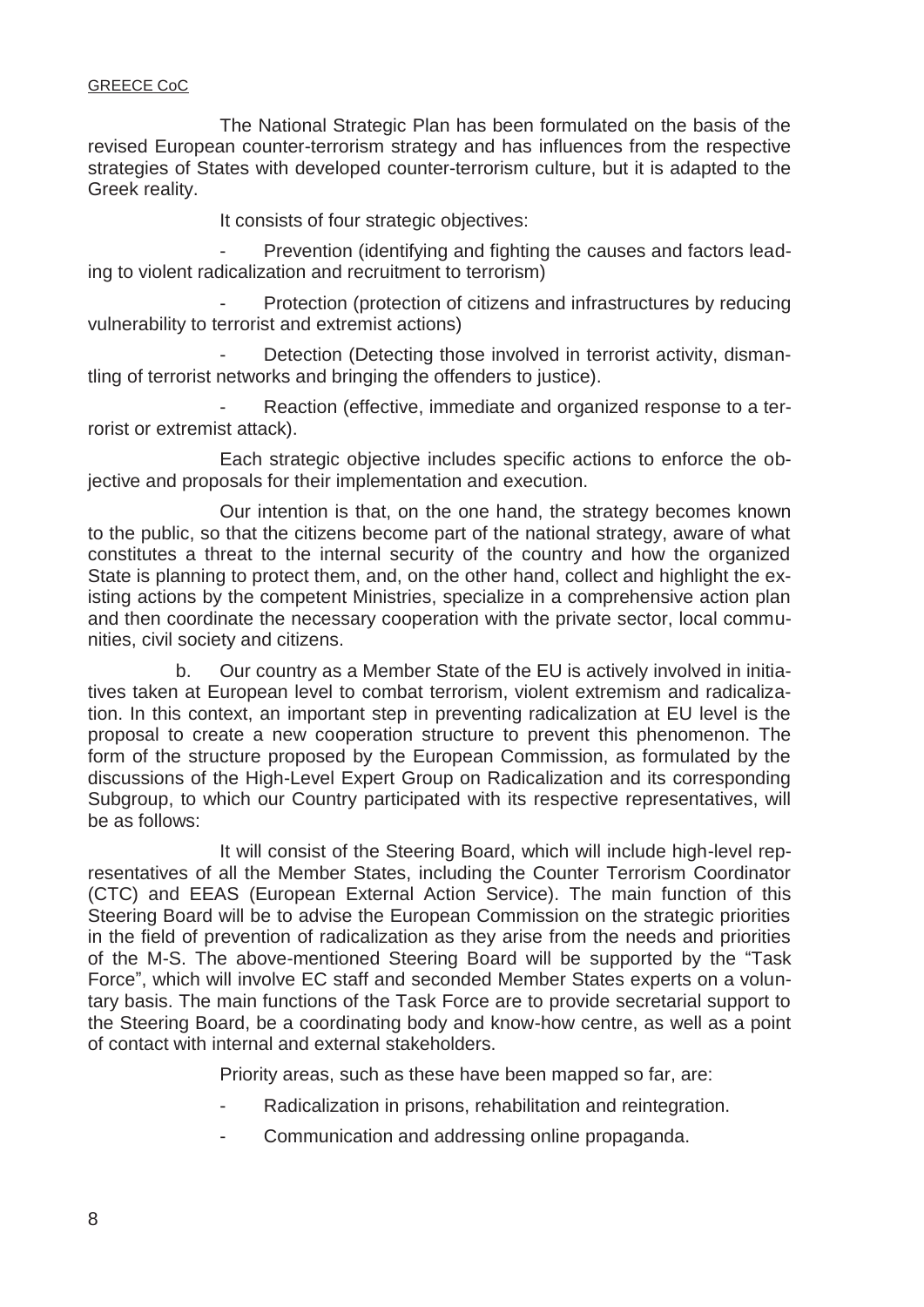The National Strategic Plan has been formulated on the basis of the revised European counter-terrorism strategy and has influences from the respective strategies of States with developed counter-terrorism culture, but it is adapted to the Greek reality.

It consists of four strategic objectives:

Prevention (identifying and fighting the causes and factors leading to violent radicalization and recruitment to terrorism)

Protection (protection of citizens and infrastructures by reducing vulnerability to terrorist and extremist actions)

Detection (Detecting those involved in terrorist activity, dismantling of terrorist networks and bringing the offenders to justice).

Reaction (effective, immediate and organized response to a terrorist or extremist attack).

 Each strategic objective includes specific actions to enforce the objective and proposals for their implementation and execution.

 Our intention is that, on the one hand, the strategy becomes known to the public, so that the citizens become part of the national strategy, aware of what constitutes a threat to the internal security of the country and how the organized State is planning to protect them, and, on the other hand, collect and highlight the existing actions by the competent Ministries, specialize in a comprehensive action plan and then coordinate the necessary cooperation with the private sector, local communities, civil society and citizens.

 b. Our country as a Member State of the EU is actively involved in initiatives taken at European level to combat terrorism, violent extremism and radicalization. In this context, an important step in preventing radicalization at EU level is the proposal to create a new cooperation structure to prevent this phenomenon. The form of the structure proposed by the European Commission, as formulated by the discussions of the High-Level Expert Group on Radicalization and its corresponding Subgroup, to which our Country participated with its respective representatives, will be as follows:

 It will consist of the Steering Board, which will include high-level representatives of all the Member States, including the Counter Terrorism Coordinator (CTC) and EEAS (European External Action Service). The main function of this Steering Board will be to advise the European Commission on the strategic priorities in the field of prevention of radicalization as they arise from the needs and priorities of the M-S. The above-mentioned Steering Board will be supported by the "Task Force", which will involve EC staff and seconded Member States experts on a voluntary basis. The main functions of the Task Force are to provide secretarial support to the Steering Board, be a coordinating body and know-how centre, as well as a point of contact with internal and external stakeholders.

Priority areas, such as these have been mapped so far, are:

- Radicalization in prisons, rehabilitation and reintegration.
- Communication and addressing online propaganda.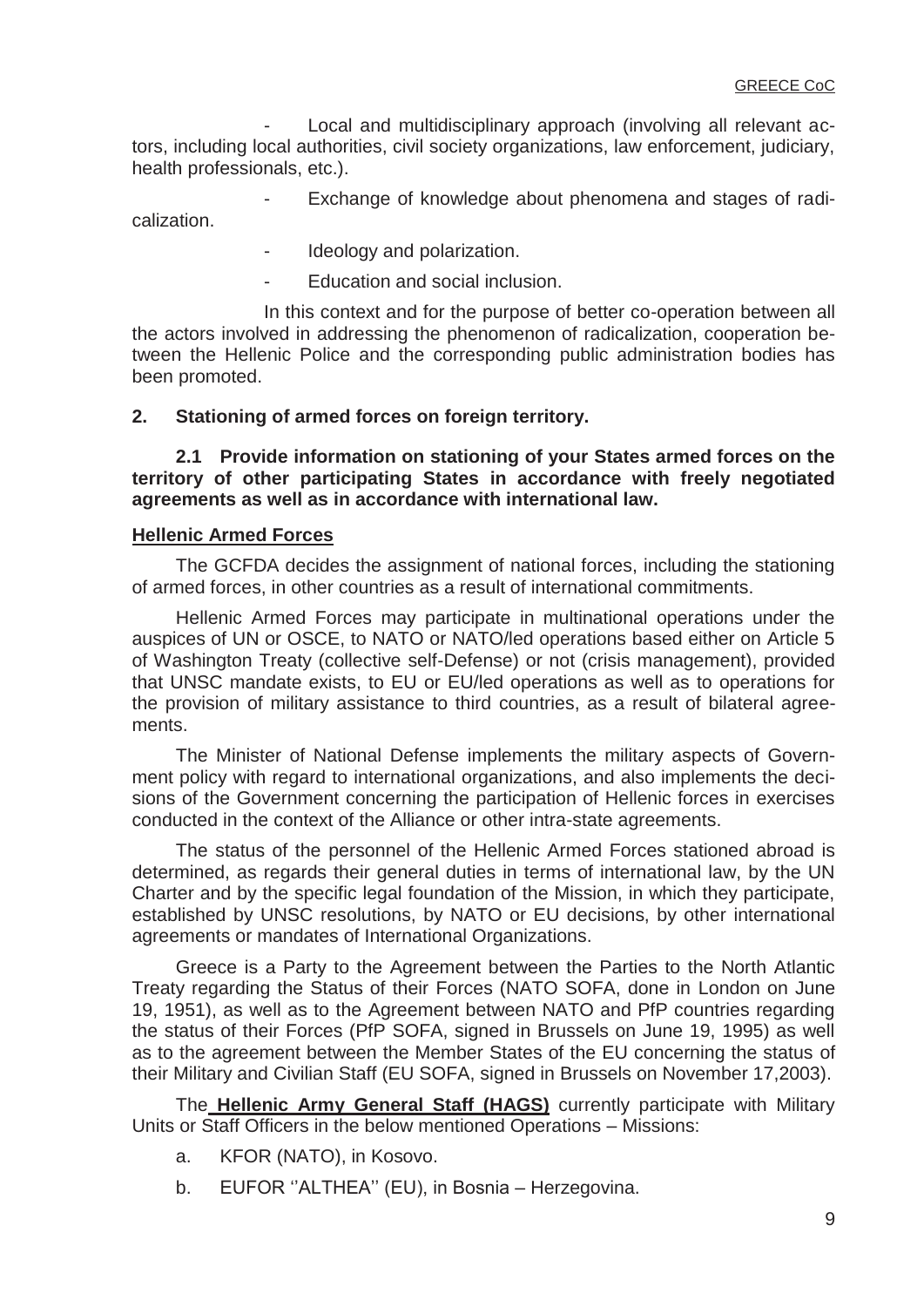Local and multidisciplinary approach (involving all relevant actors, including local authorities, civil society organizations, law enforcement, judiciary, health professionals, etc.).

Exchange of knowledge about phenomena and stages of radicalization.

- Ideology and polarization.
- Education and social inclusion.

 In this context and for the purpose of better co-operation between all the actors involved in addressing the phenomenon of radicalization, cooperation between the Hellenic Police and the corresponding public administration bodies has been promoted.

#### **2. Stationing of armed forces on foreign territory.**

 **2.1 Provide information on stationing of your States armed forces on the territory of other participating States in accordance with freely negotiated agreements as well as in accordance with international law.** 

#### **Hellenic Armed Forces**

 The GCFDA decides the assignment of national forces, including the stationing of armed forces, in other countries as a result of international commitments.

 Hellenic Armed Forces may participate in multinational operations under the auspices of UN or OSCE, to NATO or NATO/led operations based either on Article 5 of Washington Treaty (collective self-Defense) or not (crisis management), provided that UNSC mandate exists, to EU or EU/led operations as well as to operations for the provision of military assistance to third countries, as a result of bilateral agreements.

 The Minister of National Defense implements the military aspects of Government policy with regard to international organizations, and also implements the decisions of the Government concerning the participation of Hellenic forces in exercises conducted in the context of the Alliance or other intra-state agreements.

 The status of the personnel of the Hellenic Armed Forces stationed abroad is determined, as regards their general duties in terms of international law, by the UN Charter and by the specific legal foundation of the Mission, in which they participate, established by UNSC resolutions, by NATO or EU decisions, by other international agreements or mandates of International Organizations.

 Greece is a Party to the Agreement between the Parties to the North Atlantic Treaty regarding the Status of their Forces (NATO SOFA, done in London on June 19, 1951), as well as to the Agreement between NATO and PfP countries regarding the status of their Forces (PfP SOFA, signed in Brussels on June 19, 1995) as well as to the agreement between the Member States of the EU concerning the status of their Military and Civilian Staff (EU SOFA, signed in Brussels on November 17,2003).

 The **Hellenic Army General Staff (HAGS)** currently participate with Military Units or Staff Officers in the below mentioned Operations – Missions:

- a. KFOR (NATO), in Kosovo.
- b. EUFOR ''ALTHEA'' (EU), in Bosnia Herzegovina.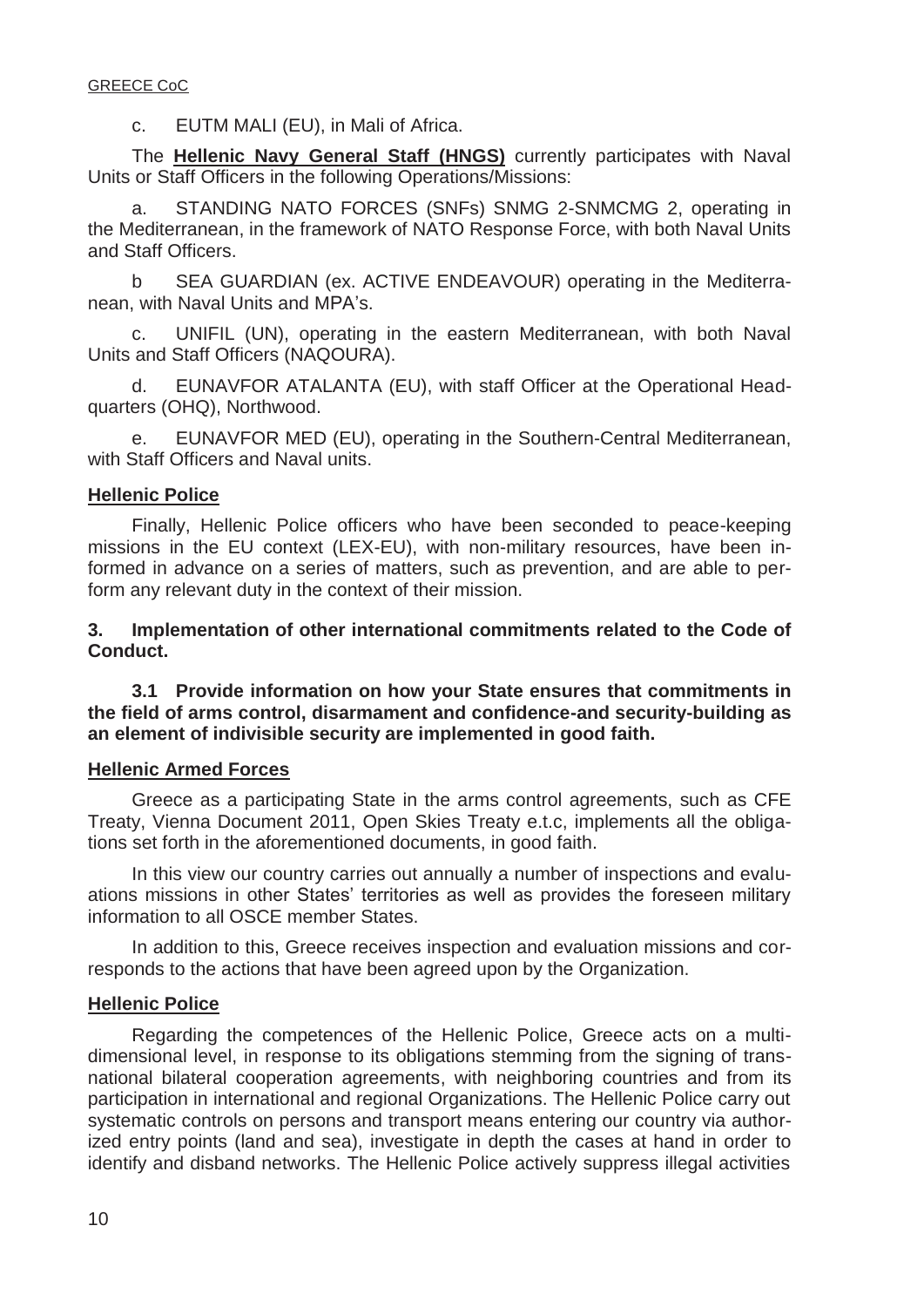c. EUTM MALI (EU), in Mali of Africa.

 The **Hellenic Navy General Staff (HNGS)** currently participates with Naval Units or Staff Officers in the following Operations/Missions:

 a. STANDING NATO FORCES (SNFs) SNMG 2-SNMCMG 2, operating in the Mediterranean, in the framework of NATO Response Force, with both Naval Units and Staff Officers.

 b SEA GUARDIAN (ex. ACTIVE ENDEAVOUR) operating in the Mediterranean, with Naval Units and MPA's.

 c. UNIFIL (UN), operating in the eastern Mediterranean, with both Naval Units and Staff Officers (NAQOURA).

 d. EUNAVFOR ATALANTA (EU), with staff Officer at the Operational Headquarters (OHQ), Northwood.

 e. EUNAVFOR MED (EU), operating in the Southern-Central Mediterranean, with Staff Officers and Naval units.

## **Hellenic Police**

 Finally, Hellenic Police officers who have been seconded to peace-keeping missions in the EU context (LEX-EU), with non-military resources, have been informed in advance on a series of matters, such as prevention, and are able to perform any relevant duty in the context of their mission.

**3. Implementation of other international commitments related to the Code of Conduct.** 

 **3.1 Provide information on how your State ensures that commitments in the field of arms control, disarmament and confidence-and security-building as an element of indivisible security are implemented in good faith.** 

## **Hellenic Armed Forces**

 Greece as a participating State in the arms control agreements, such as CFE Treaty, Vienna Document 2011, Open Skies Treaty e.t.c, implements all the obligations set forth in the aforementioned documents, in good faith.

 In this view our country carries out annually a number of inspections and evaluations missions in other States' territories as well as provides the foreseen military information to all OSCE member States.

 In addition to this, Greece receives inspection and evaluation missions and corresponds to the actions that have been agreed upon by the Organization.

## **Hellenic Police**

 Regarding the competences of the Hellenic Police, Greece acts on a multidimensional level, in response to its obligations stemming from the signing of transnational bilateral cooperation agreements, with neighboring countries and from its participation in international and regional Organizations. The Hellenic Police carry out systematic controls on persons and transport means entering our country via authorized entry points (land and sea), investigate in depth the cases at hand in order to identify and disband networks. The Hellenic Police actively suppress illegal activities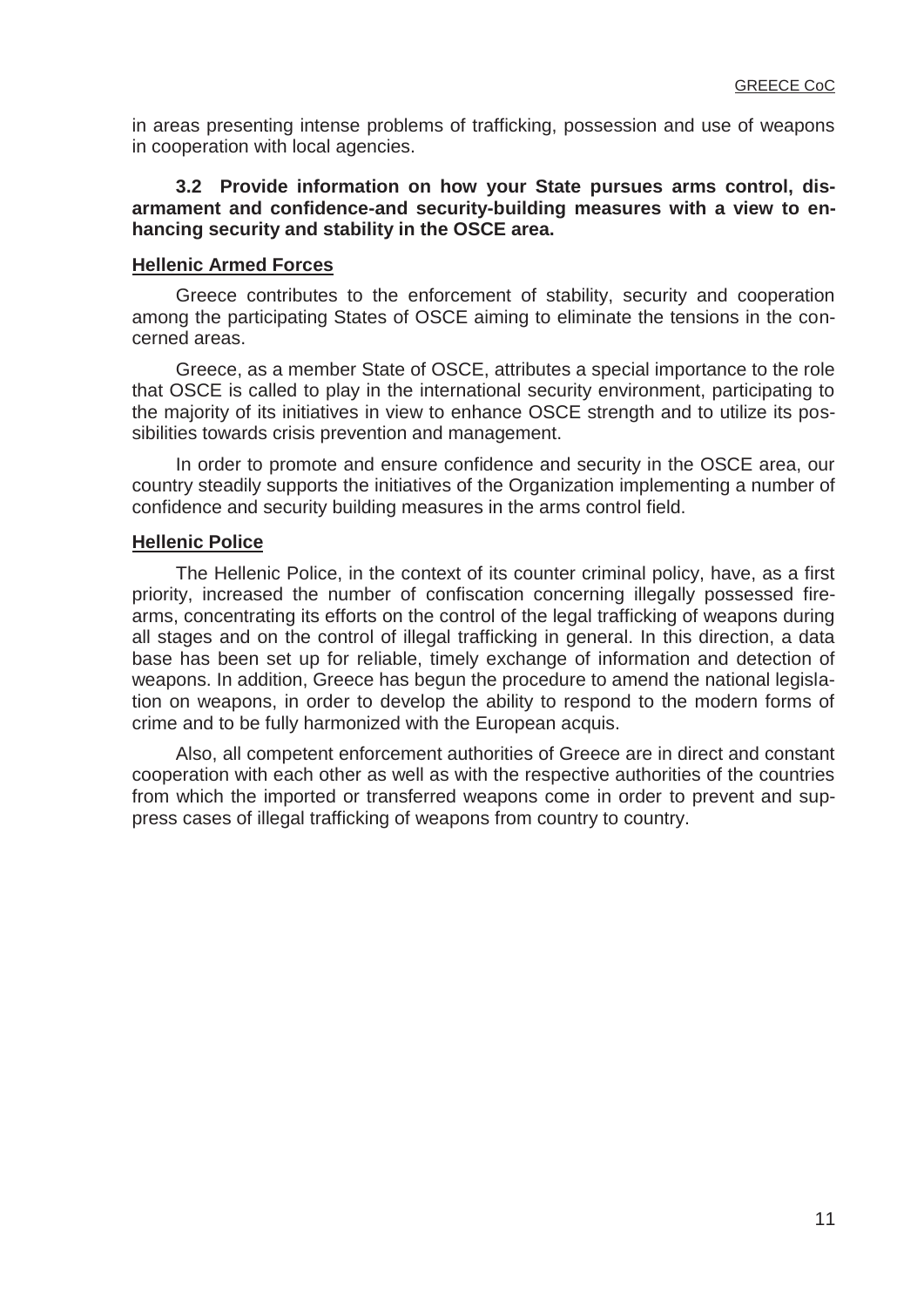in areas presenting intense problems of trafficking, possession and use of weapons in cooperation with local agencies.

#### **3.2 Provide information on how your State pursues arms control, disarmament and confidence-and security-building measures with a view to enhancing security and stability in the OSCE area.**

## **Hellenic Armed Forces**

 Greece contributes to the enforcement of stability, security and cooperation among the participating States of OSCE aiming to eliminate the tensions in the concerned areas.

 Greece, as a member State of OSCE, attributes a special importance to the role that OSCE is called to play in the international security environment, participating to the majority of its initiatives in view to enhance OSCE strength and to utilize its possibilities towards crisis prevention and management.

 In order to promote and ensure confidence and security in the OSCE area, our country steadily supports the initiatives of the Organization implementing a number of confidence and security building measures in the arms control field.

### **Hellenic Police**

 The Hellenic Police, in the context of its counter criminal policy, have, as a first priority, increased the number of confiscation concerning illegally possessed firearms, concentrating its efforts on the control of the legal trafficking of weapons during all stages and on the control of illegal trafficking in general. In this direction, a data base has been set up for reliable, timely exchange of information and detection of weapons. In addition, Greece has begun the procedure to amend the national legislation on weapons, in order to develop the ability to respond to the modern forms of crime and to be fully harmonized with the European acquis.

 Also, all competent enforcement authorities of Greece are in direct and constant cooperation with each other as well as with the respective authorities of the countries from which the imported or transferred weapons come in order to prevent and suppress cases of illegal trafficking of weapons from country to country.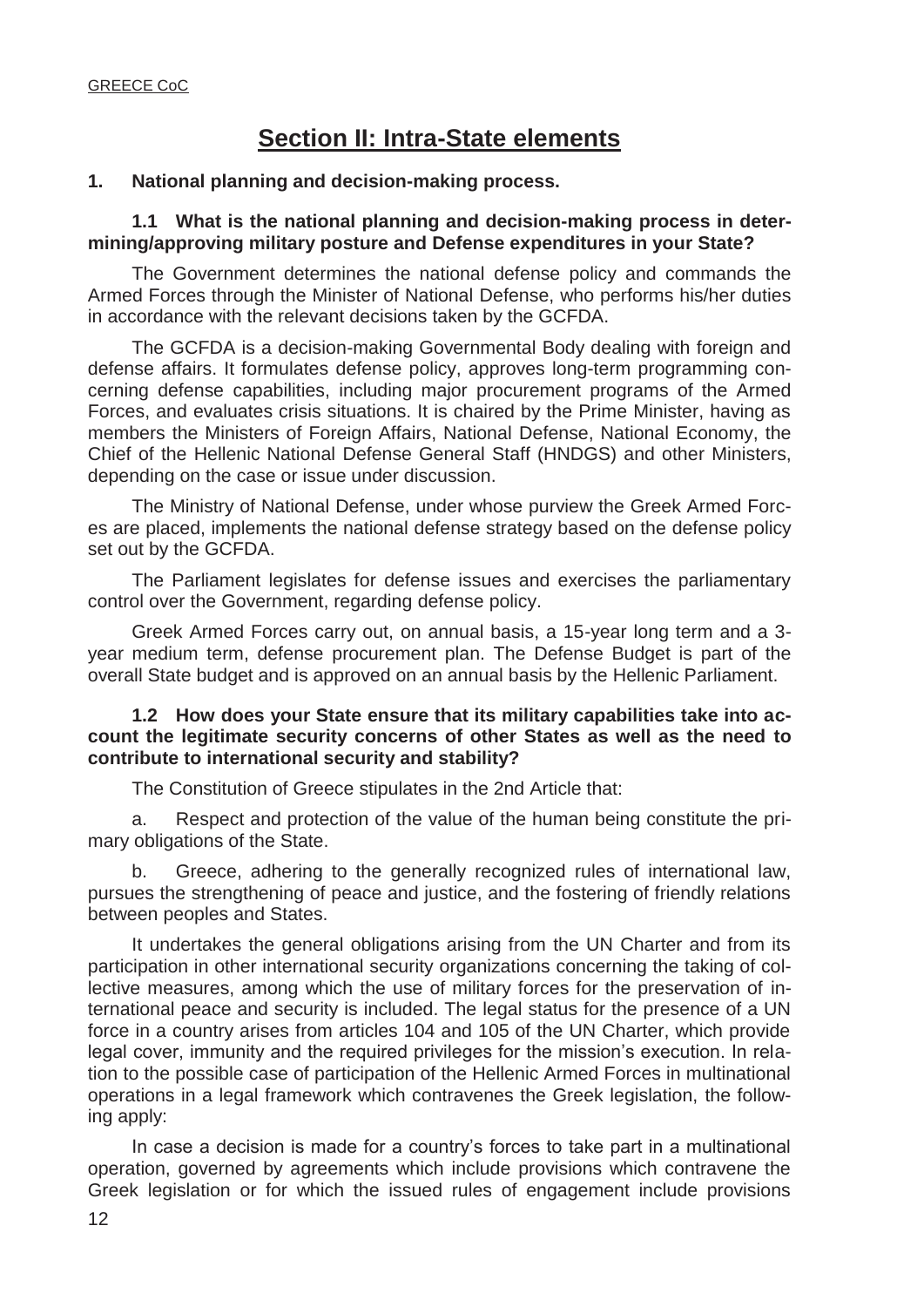## **Section II: Intra-State elements**

#### **1. National planning and decision-making process.**

 **1.1 What is the national planning and decision-making process in determining/approving military posture and Defense expenditures in your State?** 

 The Government determines the national defense policy and commands the Armed Forces through the Minister of National Defense, who performs his/her duties in accordance with the relevant decisions taken by the GCFDA.

 The GCFDA is a decision-making Governmental Body dealing with foreign and defense affairs. It formulates defense policy, approves long-term programming concerning defense capabilities, including major procurement programs of the Armed Forces, and evaluates crisis situations. It is chaired by the Prime Minister, having as members the Ministers of Foreign Affairs, National Defense, National Economy, the Chief of the Hellenic National Defense General Staff (HNDGS) and other Ministers, depending on the case or issue under discussion.

 The Ministry of National Defense, under whose purview the Greek Armed Forces are placed, implements the national defense strategy based on the defense policy set out by the GCFDA.

 The Parliament legislates for defense issues and exercises the parliamentary control over the Government, regarding defense policy.

 Greek Armed Forces carry out, on annual basis, a 15-year long term and a 3 year medium term, defense procurement plan. The Defense Budget is part of the overall State budget and is approved on an annual basis by the Hellenic Parliament.

#### **1.2 How does your State ensure that its military capabilities take into account the legitimate security concerns of other States as well as the need to contribute to international security and stability?**

The Constitution of Greece stipulates in the 2nd Article that:

 a. Respect and protection of the value of the human being constitute the primary obligations of the State.

 b. Greece, adhering to the generally recognized rules of international law, pursues the strengthening of peace and justice, and the fostering of friendly relations between peoples and States.

 It undertakes the general obligations arising from the UN Charter and from its participation in other international security organizations concerning the taking of collective measures, among which the use of military forces for the preservation of international peace and security is included. The legal status for the presence of a UN force in a country arises from articles 104 and 105 of the UN Charter, which provide legal cover, immunity and the required privileges for the mission's execution. In relation to the possible case of participation of the Hellenic Armed Forces in multinational operations in a legal framework which contravenes the Greek legislation, the following apply:

In case a decision is made for a country's forces to take part in a multinational operation, governed by agreements which include provisions which contravene the Greek legislation or for which the issued rules of engagement include provisions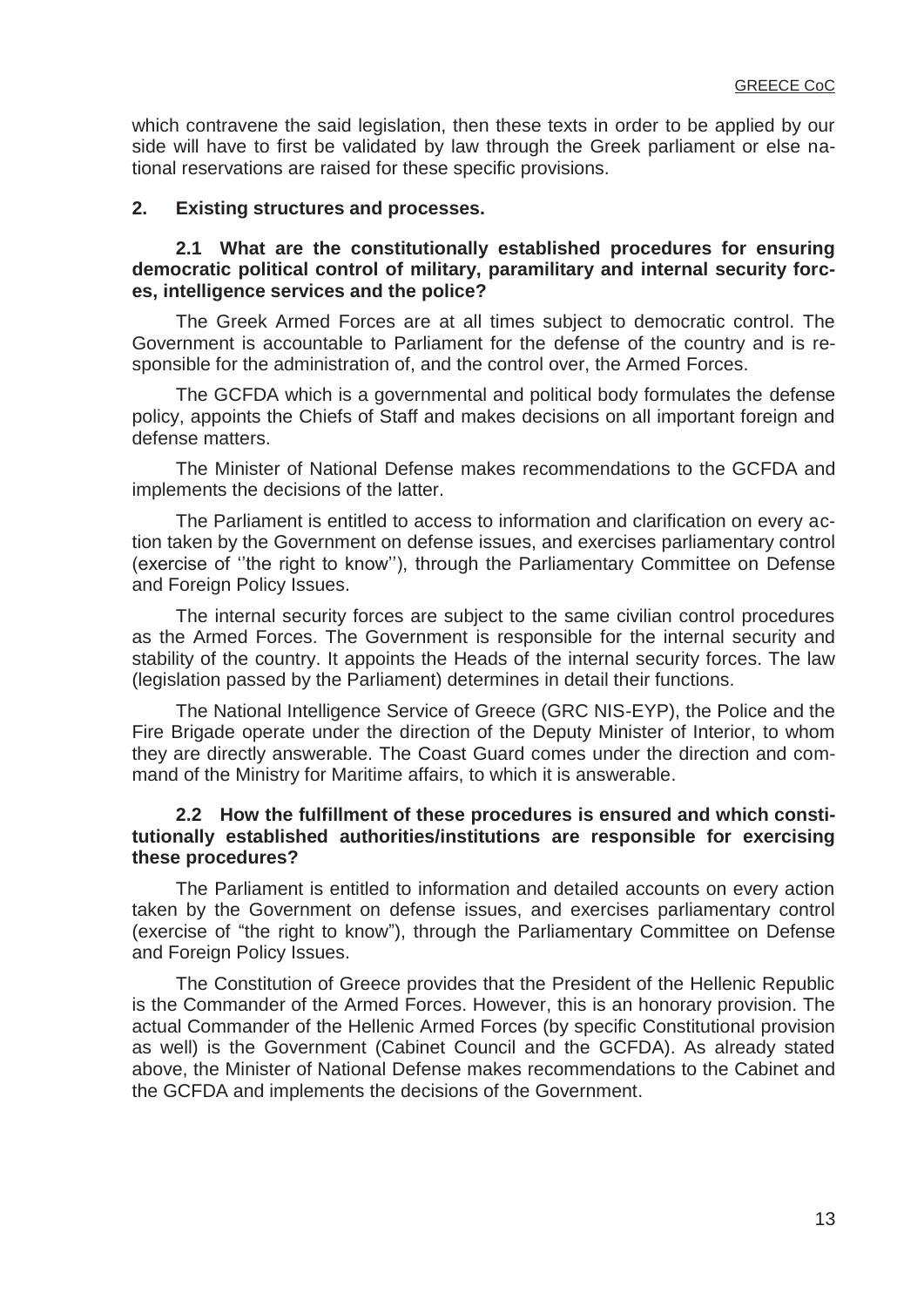which contravene the said legislation, then these texts in order to be applied by our side will have to first be validated by law through the Greek parliament or else national reservations are raised for these specific provisions.

## **2. Existing structures and processes.**

#### **2.1 What are the constitutionally established procedures for ensuring democratic political control of military, paramilitary and internal security forces, intelligence services and the police?**

 The Greek Armed Forces are at all times subject to democratic control. The Government is accountable to Parliament for the defense of the country and is responsible for the administration of, and the control over, the Armed Forces.

 The GCFDA which is a governmental and political body formulates the defense policy, appoints the Chiefs of Staff and makes decisions on all important foreign and defense matters.

 The Minister of National Defense makes recommendations to the GCFDA and implements the decisions of the latter.

 The Parliament is entitled to access to information and clarification on every action taken by the Government on defense issues, and exercises parliamentary control (exercise of ''the right to know''), through the Parliamentary Committee on Defense and Foreign Policy Issues.

 The internal security forces are subject to the same civilian control procedures as the Armed Forces. The Government is responsible for the internal security and stability of the country. It appoints the Heads of the internal security forces. The law (legislation passed by the Parliament) determines in detail their functions.

 The National Intelligence Service of Greece (GRC NIS-EYP), the Police and the Fire Brigade operate under the direction of the Deputy Minister of Interior, to whom they are directly answerable. The Coast Guard comes under the direction and command of the Ministry for Maritime affairs, to which it is answerable.

### **2.2 How the fulfillment of these procedures is ensured and which constitutionally established authorities/institutions are responsible for exercising these procedures?**

 The Parliament is entitled to information and detailed accounts on every action taken by the Government on defense issues, and exercises parliamentary control (exercise of "the right to know"), through the Parliamentary Committee on Defense and Foreign Policy Issues.

 The Constitution of Greece provides that the President of the Hellenic Republic is the Commander of the Armed Forces. However, this is an honorary provision. The actual Commander of the Hellenic Armed Forces (by specific Constitutional provision as well) is the Government (Cabinet Council and the GCFDA). As already stated above, the Minister of National Defense makes recommendations to the Cabinet and the GCFDA and implements the decisions of the Government.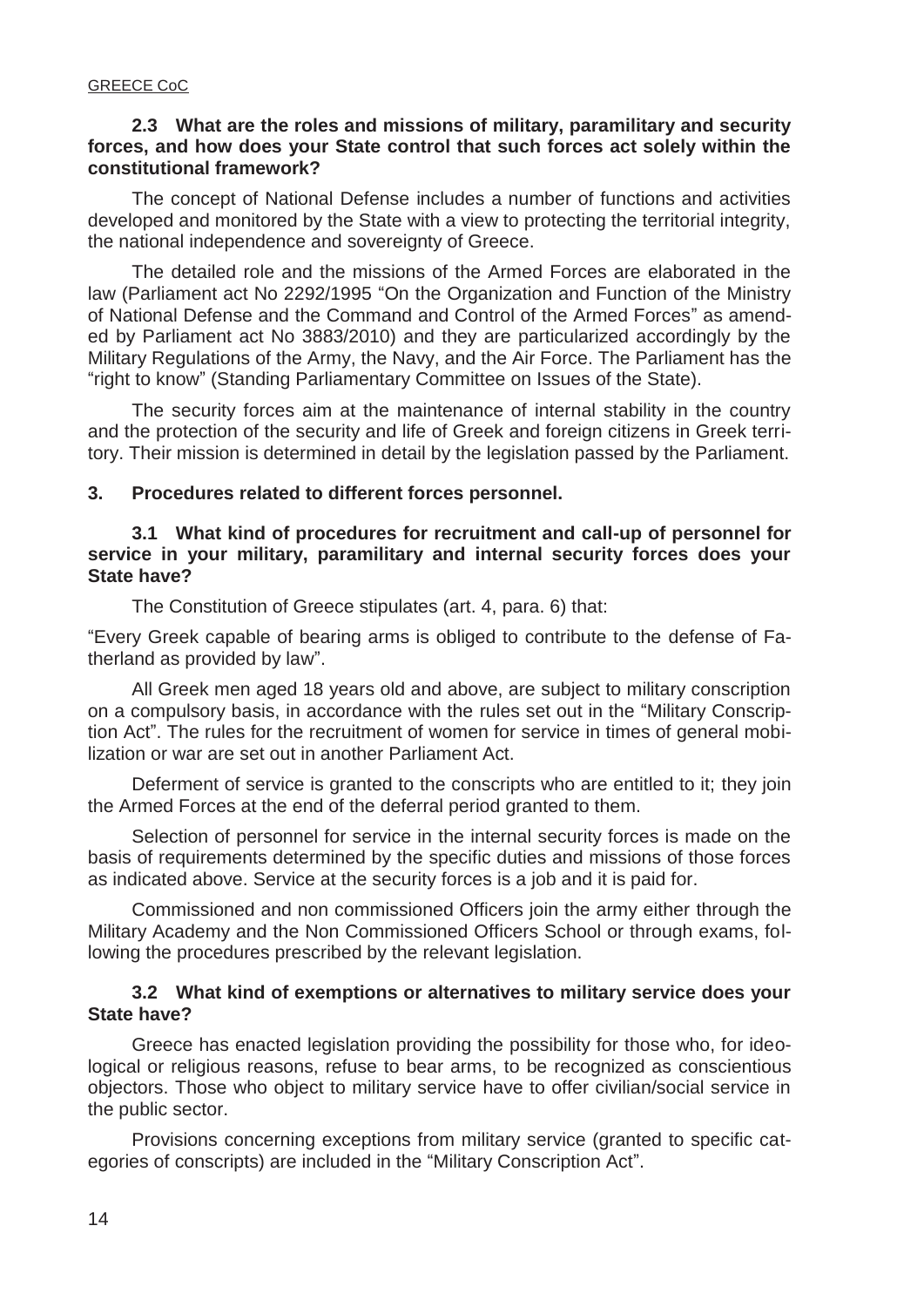### **2.3 What are the roles and missions of military, paramilitary and security forces, and how does your State control that such forces act solely within the constitutional framework?**

 The concept of National Defense includes a number of functions and activities developed and monitored by the State with a view to protecting the territorial integrity, the national independence and sovereignty of Greece.

 The detailed role and the missions of the Armed Forces are elaborated in the law (Parliament act No 2292/1995 "On the Organization and Function of the Ministry of National Defense and the Command and Control of the Armed Forces" as amended by Parliament act No 3883/2010) and they are particularized accordingly by the Military Regulations of the Army, the Navy, and the Air Force. The Parliament has the "right to know" (Standing Parliamentary Committee on Issues of the State).

 The security forces aim at the maintenance of internal stability in the country and the protection of the security and life of Greek and foreign citizens in Greek territory. Their mission is determined in detail by the legislation passed by the Parliament.

#### **3. Procedures related to different forces personnel.**

#### **3.1 What kind of procedures for recruitment and call-up of personnel for service in your military, paramilitary and internal security forces does your State have?**

The Constitution of Greece stipulates (art. 4, para. 6) that:

"Every Greek capable of bearing arms is obliged to contribute to the defense of Fatherland as provided by law".

 All Greek men aged 18 years old and above, are subject to military conscription on a compulsory basis, in accordance with the rules set out in the "Military Conscription Act". The rules for the recruitment of women for service in times of general mobilization or war are set out in another Parliament Act.

 Deferment of service is granted to the conscripts who are entitled to it; they join the Armed Forces at the end of the deferral period granted to them.

 Selection of personnel for service in the internal security forces is made on the basis of requirements determined by the specific duties and missions of those forces as indicated above. Service at the security forces is a job and it is paid for.

 Commissioned and non commissioned Officers join the army either through the Military Academy and the Non Commissioned Officers School or through exams, following the procedures prescribed by the relevant legislation.

#### **3.2 What kind of exemptions or alternatives to military service does your State have?**

 Greece has enacted legislation providing the possibility for those who, for ideological or religious reasons, refuse to bear arms, to be recognized as conscientious objectors. Those who object to military service have to offer civilian/social service in the public sector.

 Provisions concerning exceptions from military service (granted to specific categories of conscripts) are included in the "Military Conscription Act".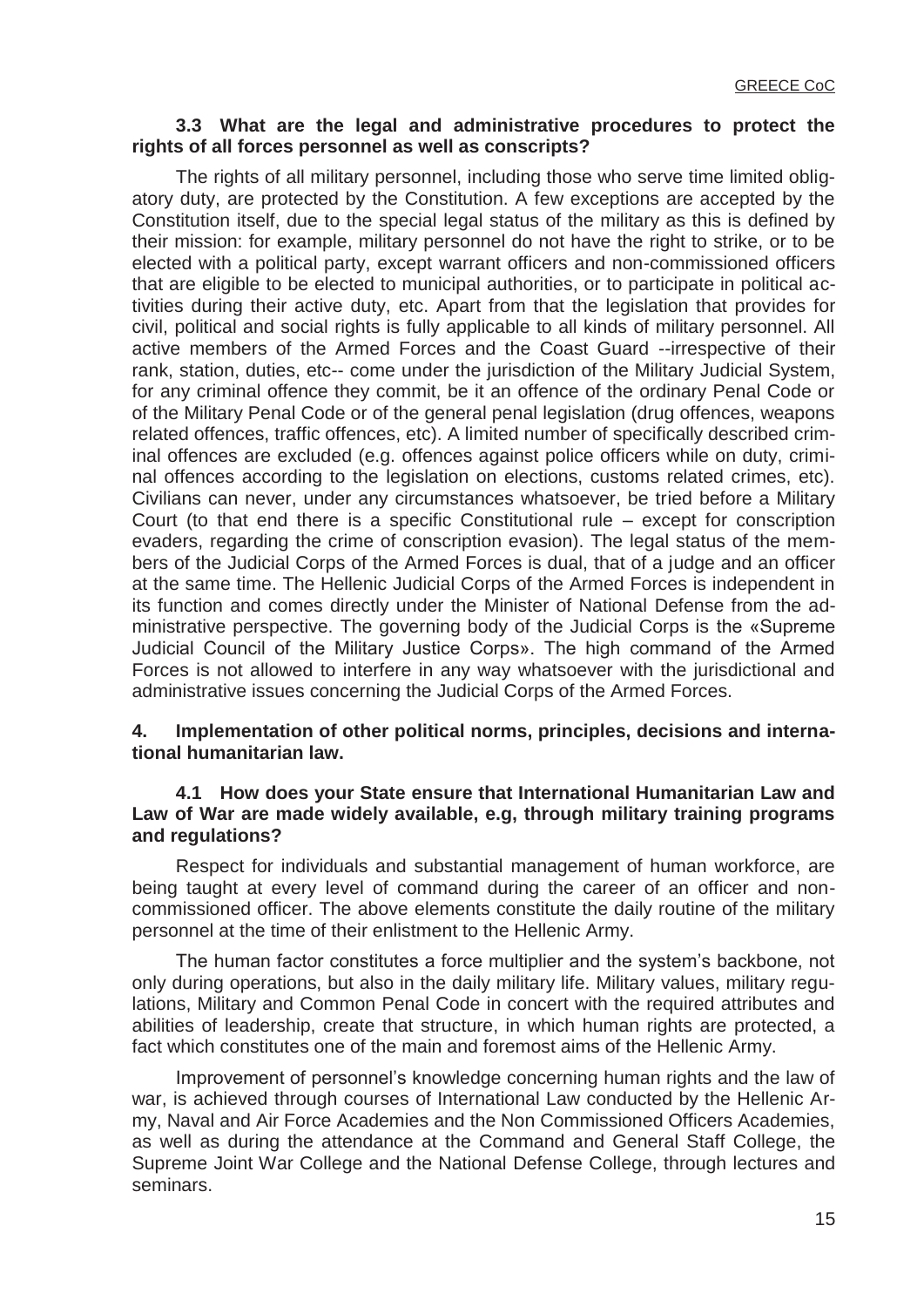#### **3.3 What are the legal and administrative procedures to protect the rights of all forces personnel as well as conscripts?**

 The rights of all military personnel, including those who serve time limited obligatory duty, are protected by the Constitution. A few exceptions are accepted by the Constitution itself, due to the special legal status of the military as this is defined by their mission: for example, military personnel do not have the right to strike, or to be elected with a political party, except warrant officers and non-commissioned officers that are eligible to be elected to municipal authorities, or to participate in political activities during their active duty, etc. Apart from that the legislation that provides for civil, political and social rights is fully applicable to all kinds of military personnel. All active members of the Armed Forces and the Coast Guard --irrespective of their rank, station, duties, etc-- come under the jurisdiction of the Military Judicial System, for any criminal offence they commit, be it an offence of the ordinary Penal Code or of the Military Penal Code or of the general penal legislation (drug offences, weapons related offences, traffic offences, etc). A limited number of specifically described criminal offences are excluded (e.g. offences against police officers while on duty, criminal offences according to the legislation on elections, customs related crimes, etc). Civilians can never, under any circumstances whatsoever, be tried before a Military Court (to that end there is a specific Constitutional rule – except for conscription evaders, regarding the crime of conscription evasion). The legal status of the members of the Judicial Corps of the Armed Forces is dual, that of a judge and an officer at the same time. The Hellenic Judicial Corps of the Armed Forces is independent in its function and comes directly under the Minister of National Defense from the administrative perspective. The governing body of the Judicial Corps is the «Supreme Judicial Council of the Military Justice Corps». The high command of the Armed Forces is not allowed to interfere in any way whatsoever with the jurisdictional and administrative issues concerning the Judicial Corps of the Armed Forces.

#### **4. Implementation of other political norms, principles, decisions and international humanitarian law.**

#### **4.1 How does your State ensure that International Humanitarian Law and Law of War are made widely available, e.g, through military training programs and regulations?**

 Respect for individuals and substantial management of human workforce, are being taught at every level of command during the career of an officer and noncommissioned officer. The above elements constitute the daily routine of the military personnel at the time of their enlistment to the Hellenic Army.

The human factor constitutes a force multiplier and the system's backbone, not only during operations, but also in the daily military life. Military values, military regulations, Military and Common Penal Code in concert with the required attributes and abilities of leadership, create that structure, in which human rights are protected, a fact which constitutes one of the main and foremost aims of the Hellenic Army.

Improvement of personnel's knowledge concerning human rights and the law of war, is achieved through courses of International Law conducted by the Hellenic Army, Naval and Air Force Academies and the Non Commissioned Officers Academies, as well as during the attendance at the Command and General Staff College, the Supreme Joint War College and the National Defense College, through lectures and seminars.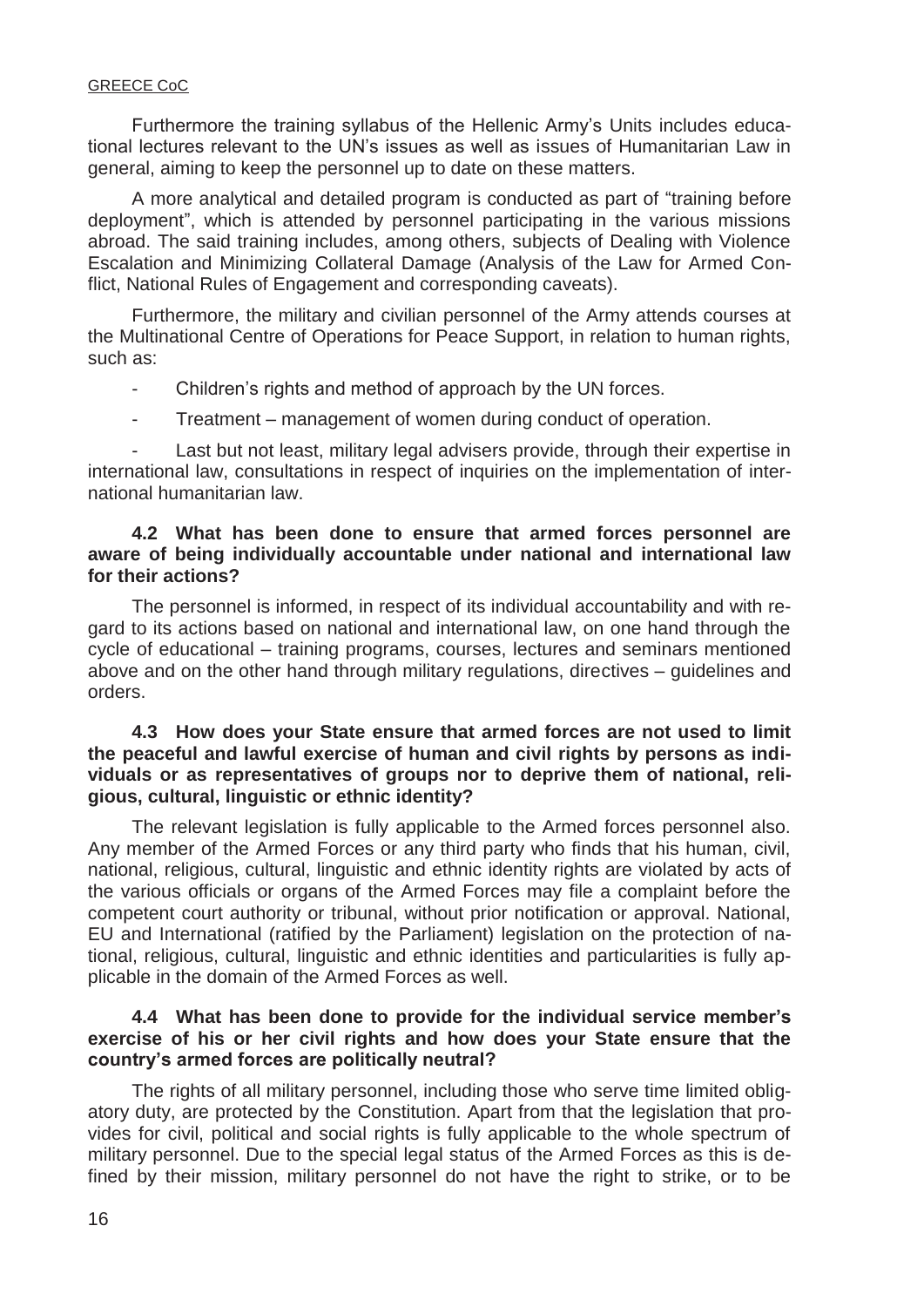Furthermore the training syllabus of the Hellenic Army's Units includes educational lectures relevant to the UN's issues as well as issues of Humanitarian Law in general, aiming to keep the personnel up to date on these matters.

 A more analytical and detailed program is conducted as part of "training before deployment", which is attended by personnel participating in the various missions abroad. The said training includes, among others, subjects of Dealing with Violence Escalation and Minimizing Collateral Damage (Analysis of the Law for Armed Conflict, National Rules of Engagement and corresponding caveats).

 Furthermore, the military and civilian personnel of the Army attends courses at the Multinational Centre of Operations for Peace Support, in relation to human rights, such as:

- Children's rights and method of approach by the UN forces.
- Treatment management of women during conduct of operation.

Last but not least, military legal advisers provide, through their expertise in international law, consultations in respect of inquiries on the implementation of international humanitarian law.

## **4.2 What has been done to ensure that armed forces personnel are aware of being individually accountable under national and international law for their actions?**

 The personnel is informed, in respect of its individual accountability and with regard to its actions based on national and international law, on one hand through the cycle of educational – training programs, courses, lectures and seminars mentioned above and on the other hand through military regulations, directives – guidelines and orders.

### **4.3 How does your State ensure that armed forces are not used to limit the peaceful and lawful exercise of human and civil rights by persons as individuals or as representatives of groups nor to deprive them of national, religious, cultural, linguistic or ethnic identity?**

 The relevant legislation is fully applicable to the Armed forces personnel also. Any member of the Armed Forces or any third party who finds that his human, civil, national, religious, cultural, linguistic and ethnic identity rights are violated by acts of the various officials or organs of the Armed Forces may file a complaint before the competent court authority or tribunal, without prior notification or approval. National, EU and International (ratified by the Parliament) legislation on the protection of national, religious, cultural, linguistic and ethnic identities and particularities is fully applicable in the domain of the Armed Forces as well.

#### **4.4 What has been done to provide for the individual service member's exercise of his or her civil rights and how does your State ensure that the country's armed forces are politically neutral?**

 The rights of all military personnel, including those who serve time limited obligatory duty, are protected by the Constitution. Apart from that the legislation that provides for civil, political and social rights is fully applicable to the whole spectrum of military personnel. Due to the special legal status of the Armed Forces as this is defined by their mission, military personnel do not have the right to strike, or to be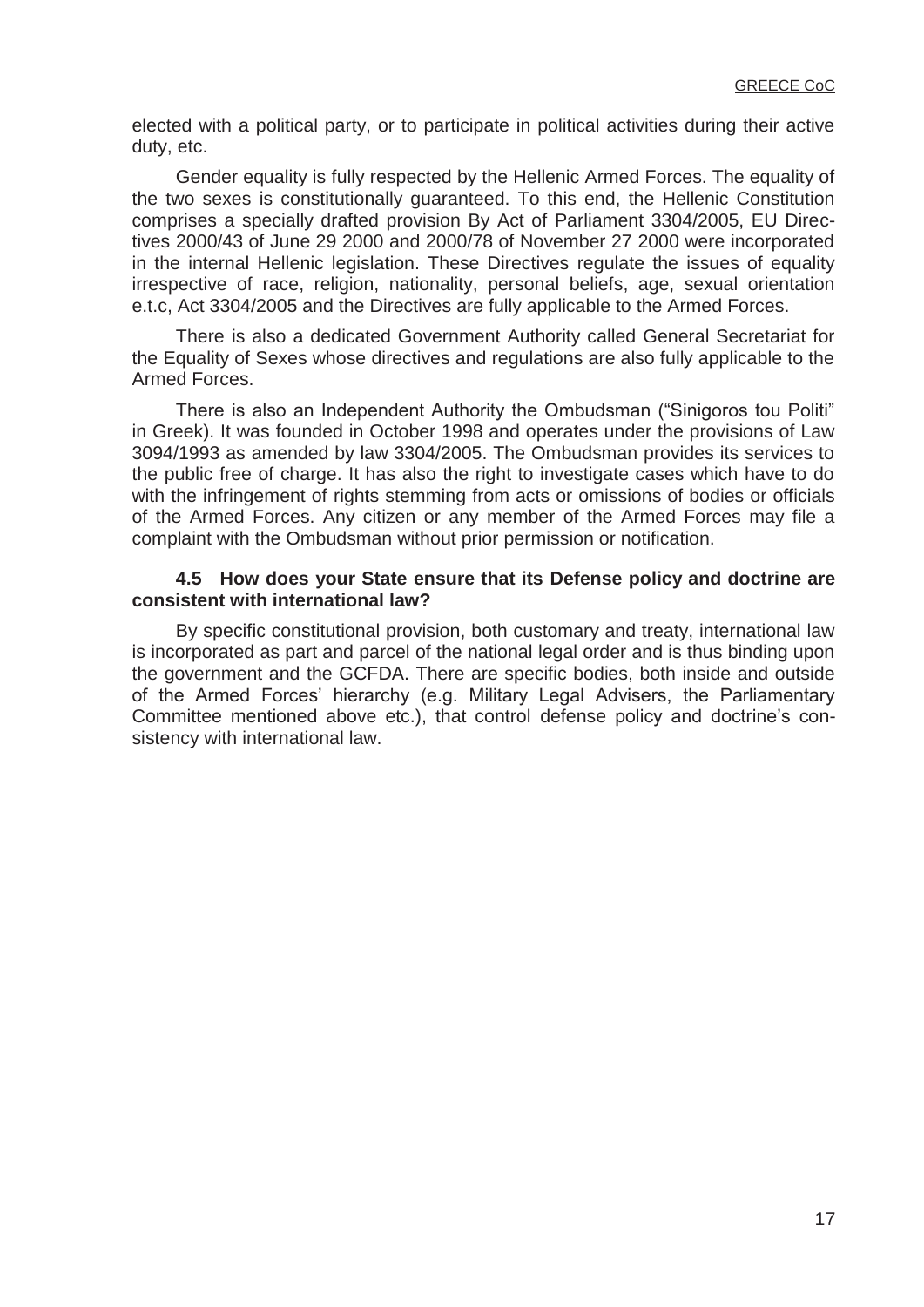elected with a political party, or to participate in political activities during their active duty, etc.

 Gender equality is fully respected by the Hellenic Armed Forces. The equality of the two sexes is constitutionally guaranteed. To this end, the Hellenic Constitution comprises a specially drafted provision By Act of Parliament 3304/2005, EU Directives 2000/43 of June 29 2000 and 2000/78 of November 27 2000 were incorporated in the internal Hellenic legislation. These Directives regulate the issues of equality irrespective of race, religion, nationality, personal beliefs, age, sexual orientation e.t.c, Act 3304/2005 and the Directives are fully applicable to the Armed Forces.

 There is also a dedicated Government Authority called General Secretariat for the Equality of Sexes whose directives and regulations are also fully applicable to the Armed Forces.

There is also an Independent Authority the Ombudsman ("Sinigoros tou Politi" in Greek). It was founded in October 1998 and operates under the provisions of Law 3094/1993 as amended by law 3304/2005. The Ombudsman provides its services to the public free of charge. It has also the right to investigate cases which have to do with the infringement of rights stemming from acts or omissions of bodies or officials of the Armed Forces. Any citizen or any member of the Armed Forces may file a complaint with the Ombudsman without prior permission or notification.

#### **4.5 How does your State ensure that its Defense policy and doctrine are consistent with international law?**

 By specific constitutional provision, both customary and treaty, international law is incorporated as part and parcel of the national legal order and is thus binding upon the government and the GCFDA. There are specific bodies, both inside and outside of the Armed Forces' hierarchy (e.g. Military Legal Advisers, the Parliamentary Committee mentioned above etc.), that control defense policy and doctrine's consistency with international law.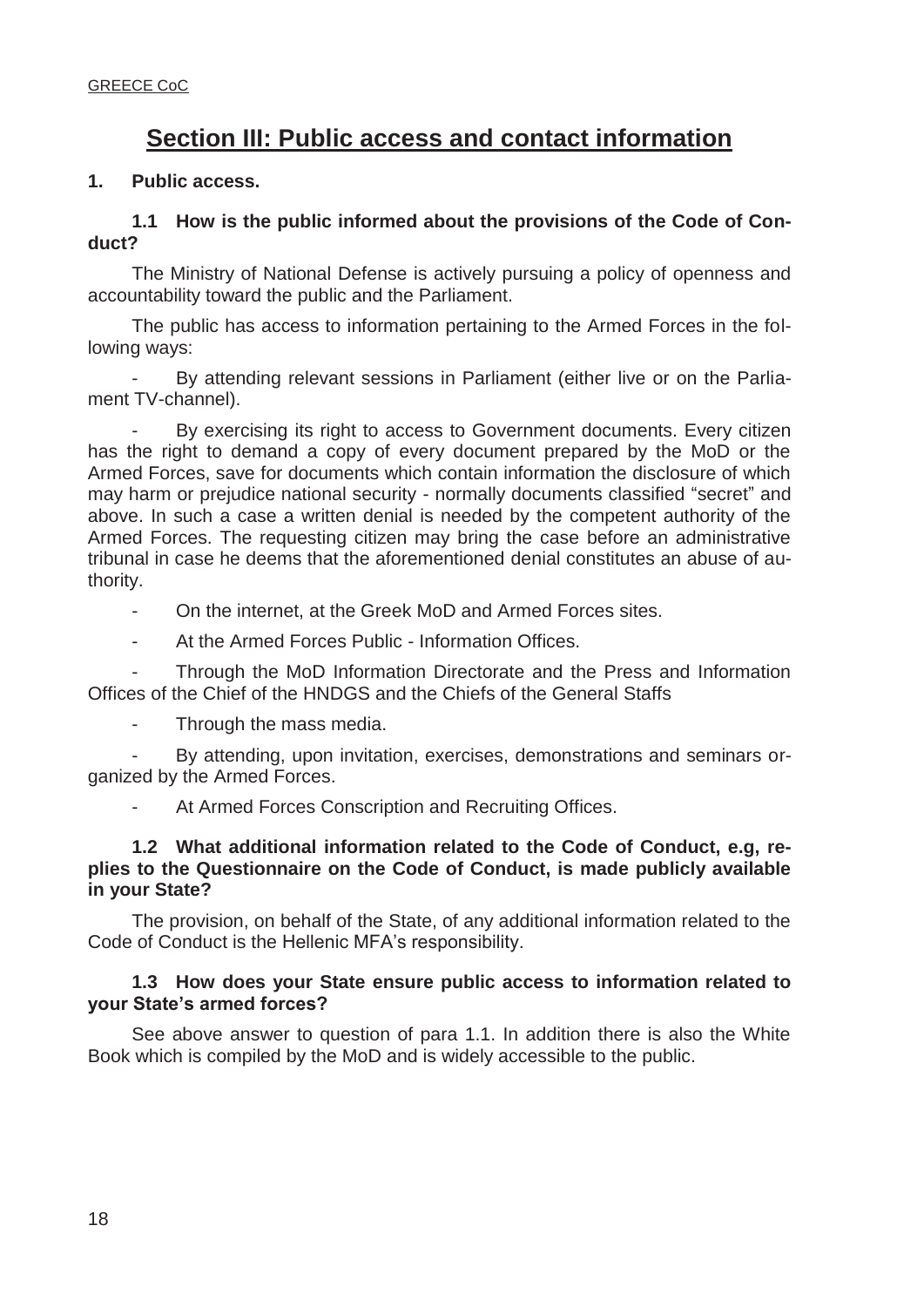## **Section III: Public access and contact information**

### **1. Public access.**

## **1.1 How is the public informed about the provisions of the Code of Conduct?**

 The Ministry of National Defense is actively pursuing a policy of openness and accountability toward the public and the Parliament.

 The public has access to information pertaining to the Armed Forces in the following ways:

By attending relevant sessions in Parliament (either live or on the Parliament TV-channel).

By exercising its right to access to Government documents. Every citizen has the right to demand a copy of every document prepared by the MoD or the Armed Forces, save for documents which contain information the disclosure of which may harm or prejudice national security - normally documents classified "secret" and above. In such a case a written denial is needed by the competent authority of the Armed Forces. The requesting citizen may bring the case before an administrative tribunal in case he deems that the aforementioned denial constitutes an abuse of authority.

- On the internet, at the Greek MoD and Armed Forces sites.
- At the Armed Forces Public Information Offices.

Through the MoD Information Directorate and the Press and Information Offices of the Chief of the HNDGS and the Chiefs of the General Staffs

Through the mass media.

By attending, upon invitation, exercises, demonstrations and seminars organized by the Armed Forces.

At Armed Forces Conscription and Recruiting Offices.

#### **1.2 What additional information related to the Code of Conduct, e.g, replies to the Questionnaire on the Code of Conduct, is made publicly available in your State?**

 The provision, on behalf of the State, of any additional information related to the Code of Conduct is the Hellenic MFA's responsibility.

### **1.3 How does your State ensure public access to information related to your State's armed forces?**

 See above answer to question of para 1.1. In addition there is also the White Book which is compiled by the MoD and is widely accessible to the public.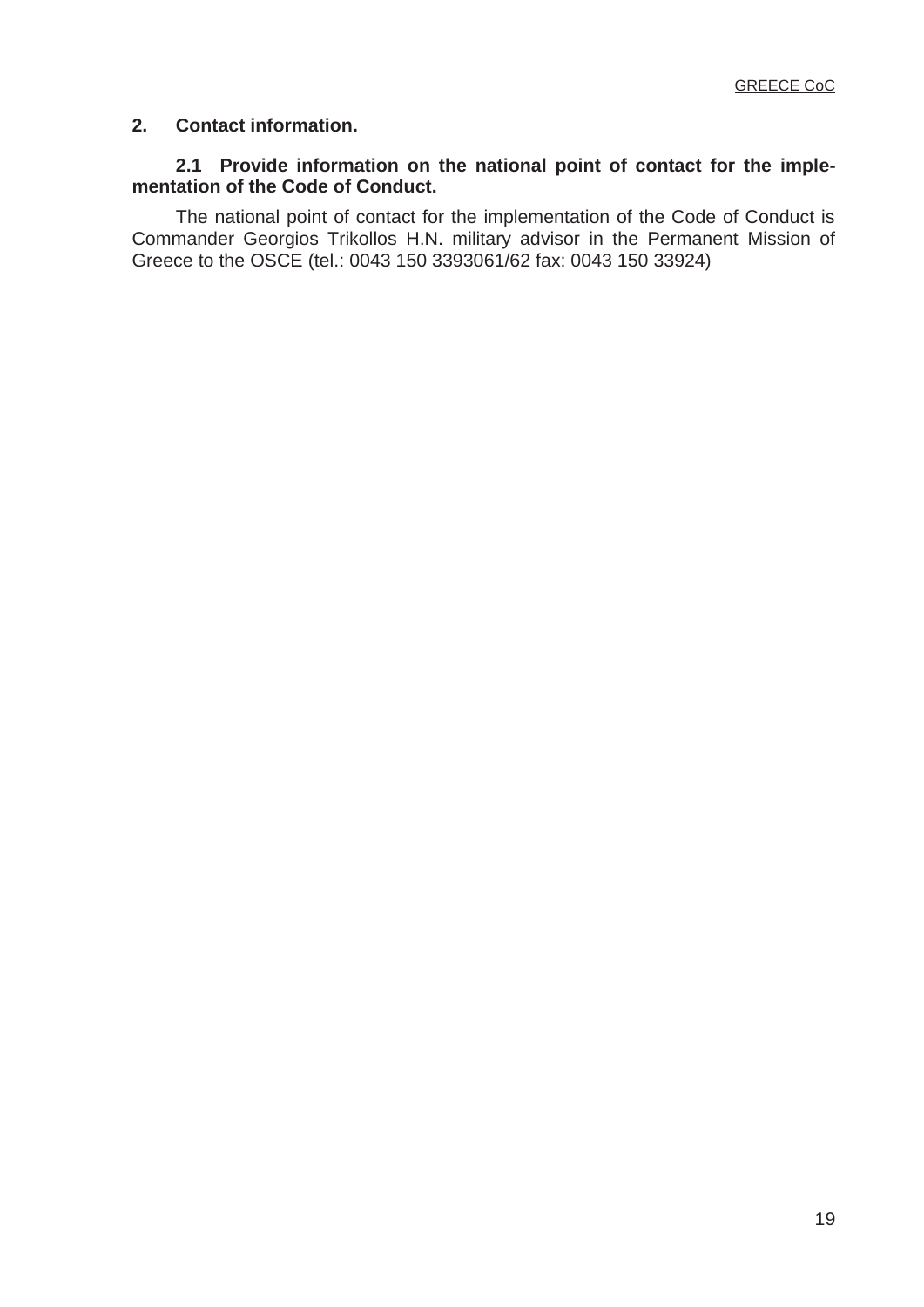## **2. Contact information.**

## **2.1 Provide information on the national point of contact for the implementation of the Code of Conduct.**

 The national point of contact for the implementation of the Code of Conduct is Commander Georgios Trikollos H.N. military advisor in the Permanent Mission of Greece to the OSCE (tel.: 0043 150 3393061/62 fax: 0043 150 33924)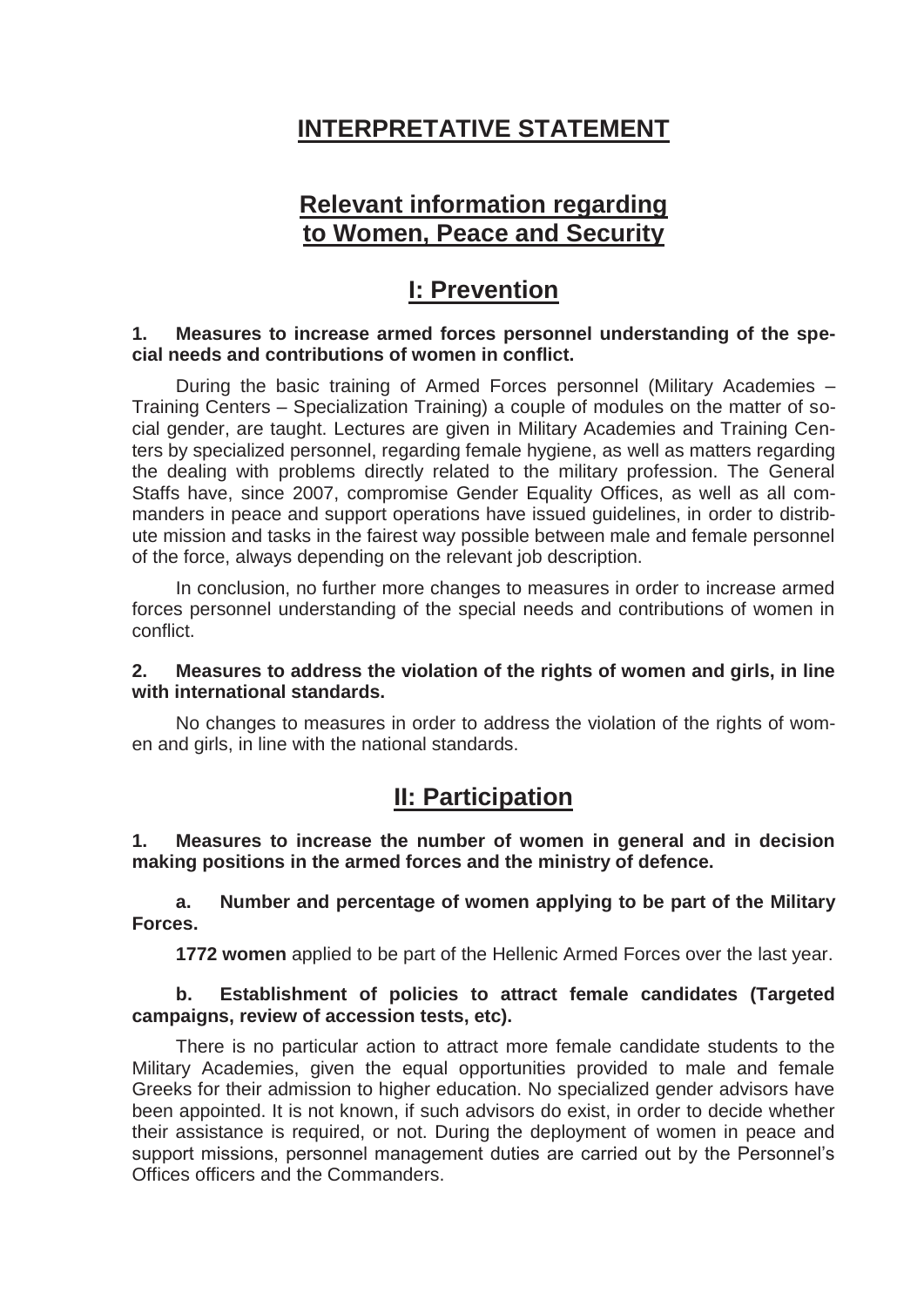# **INTERPRETATIVE STATEMENT**

## **Relevant information regarding to Women, Peace and Security**

## **I: Prevention**

### **1. Measures to increase armed forces personnel understanding of the special needs and contributions of women in conflict.**

 During the basic training of Armed Forces personnel (Military Academies – Training Centers – Specialization Training) a couple of modules on the matter of social gender, are taught. Lectures are given in Military Academies and Training Centers by specialized personnel, regarding female hygiene, as well as matters regarding the dealing with problems directly related to the military profession. The General Staffs have, since 2007, compromise Gender Equality Offices, as well as all commanders in peace and support operations have issued guidelines, in order to distribute mission and tasks in the fairest way possible between male and female personnel of the force, always depending on the relevant job description.

 In conclusion, no further more changes to measures in order to increase armed forces personnel understanding of the special needs and contributions of women in conflict.

### **2. Measures to address the violation of the rights of women and girls, in line with international standards.**

 No changes to measures in order to address the violation of the rights of women and girls, in line with the national standards.

## **II: Participation**

**1. Measures to increase the number of women in general and in decision making positions in the armed forces and the ministry of defence.** 

 **a. Number and percentage of women applying to be part of the Military Forces.** 

**1772 women** applied to be part of the Hellenic Armed Forces over the last year.

## **b. Establishment of policies to attract female candidates (Targeted campaigns, review of accession tests, etc).**

 There is no particular action to attract more female candidate students to the Military Academies, given the equal opportunities provided to male and female Greeks for their admission to higher education. No specialized gender advisors have been appointed. It is not known, if such advisors do exist, in order to decide whether their assistance is required, or not. During the deployment of women in peace and support missions, personnel management duties are carried out by the Personnel's Offices officers and the Commanders.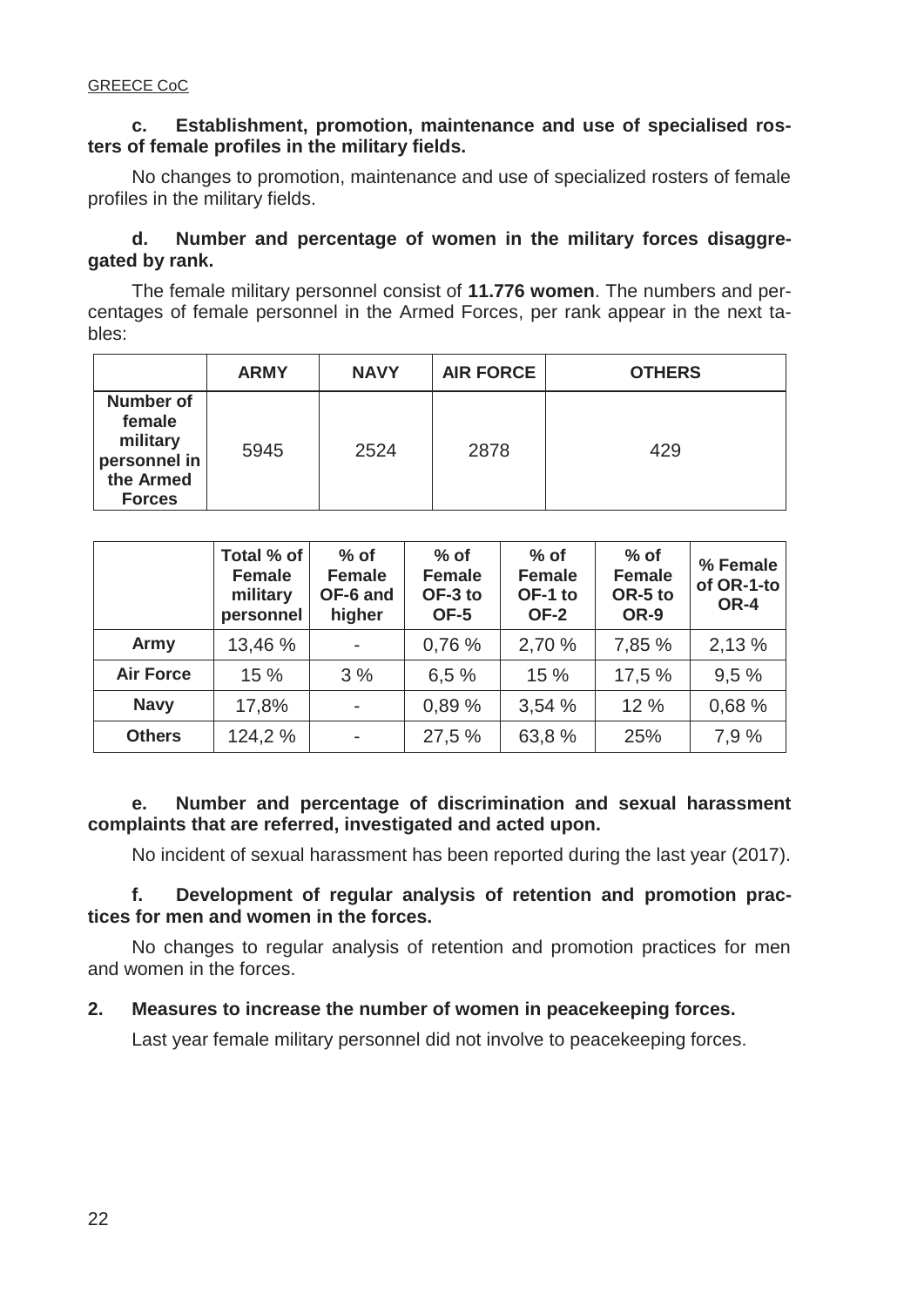## **c. Establishment, promotion, maintenance and use of specialised rosters of female profiles in the military fields.**

 No changes to promotion, maintenance and use of specialized rosters of female profiles in the military fields.

## **d. Number and percentage of women in the military forces disaggregated by rank.**

 The female military personnel consist of **11.776 women**. The numbers and percentages of female personnel in the Armed Forces, per rank appear in the next tables:

|                                                                                      | <b>ARMY</b> | <b>NAVY</b> | <b>AIR FORCE</b> | <b>OTHERS</b> |
|--------------------------------------------------------------------------------------|-------------|-------------|------------------|---------------|
| <b>Number of</b><br>female<br>military<br>personnel in<br>the Armed<br><b>Forces</b> | 5945        | 2524        | 2878             | 429           |

|                  | Total % of<br><b>Female</b><br>military<br>personnel | $%$ of<br><b>Female</b><br>OF-6 and<br>higher | $%$ of<br><b>Female</b><br>OF-3 to<br>OF-5 | $%$ of<br><b>Female</b><br>OF-1 to<br><b>OF-2</b> | $%$ of<br><b>Female</b><br>OR-5 to<br>OR-9 | % Female<br>of OR-1-to<br>OR-4 |
|------------------|------------------------------------------------------|-----------------------------------------------|--------------------------------------------|---------------------------------------------------|--------------------------------------------|--------------------------------|
| Army             | 13,46 %                                              | $\overline{\phantom{a}}$                      | 0,76%                                      | 2,70 %                                            | 7,85 %                                     | 2,13 %                         |
| <b>Air Force</b> | 15 %                                                 | 3%                                            | 6.5%                                       | 15%                                               | 17.5 %                                     | 9.5%                           |
| <b>Navy</b>      | 17,8%                                                | $\overline{\phantom{a}}$                      | 0,89 %                                     | 3,54%                                             | 12%                                        | 0,68 %                         |
| <b>Others</b>    | 124,2 %                                              | $\overline{\phantom{a}}$                      | 27,5 %                                     | 63,8 %                                            | 25%                                        | 7,9 %                          |

## **e. Number and percentage of discrimination and sexual harassment complaints that are referred, investigated and acted upon.**

No incident of sexual harassment has been reported during the last year (2017).

## **f. Development of regular analysis of retention and promotion practices for men and women in the forces.**

 No changes to regular analysis of retention and promotion practices for men and women in the forces.

## **2. Measures to increase the number of women in peacekeeping forces.**

Last year female military personnel did not involve to peacekeeping forces.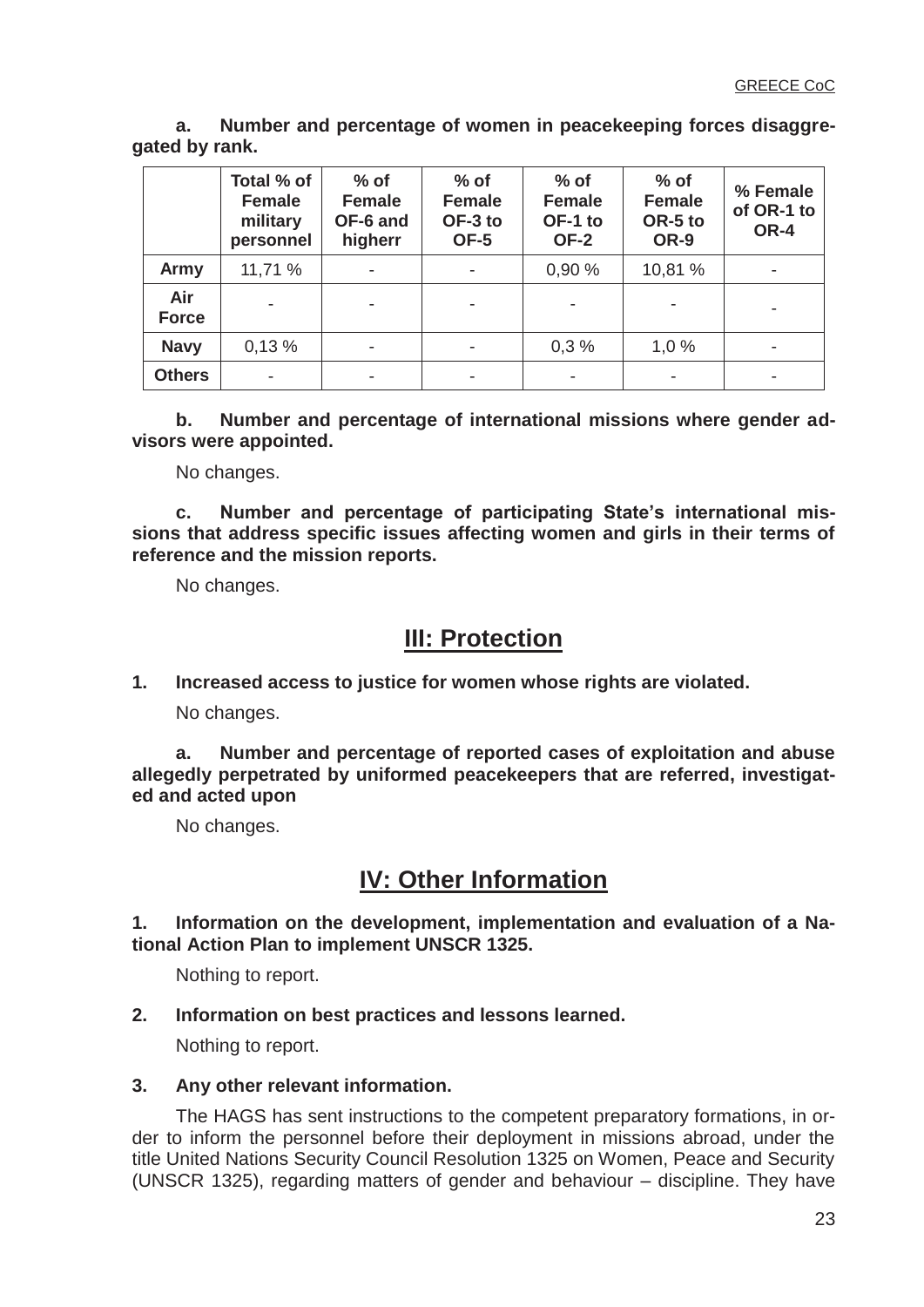**a. Number and percentage of women in peacekeeping forces disaggregated by rank.** 

|                     | Total % of<br><b>Female</b><br>military<br>personnel | $%$ of<br><b>Female</b><br>OF-6 and<br>higherr | $%$ of<br><b>Female</b><br>OF-3 to<br>OF-5 | $%$ of<br><b>Female</b><br>OF-1 to<br><b>OF-2</b> | $%$ of<br><b>Female</b><br>OR-5 to<br>OR-9 | % Female<br>of OR-1 to<br>OR-4 |
|---------------------|------------------------------------------------------|------------------------------------------------|--------------------------------------------|---------------------------------------------------|--------------------------------------------|--------------------------------|
| Army                | 11,71 %                                              |                                                |                                            | 0,90 %                                            | 10,81 %                                    |                                |
| Air<br><b>Force</b> |                                                      |                                                |                                            |                                                   |                                            |                                |
| <b>Navy</b>         | 0,13%                                                |                                                |                                            | 0,3%                                              | 1,0%                                       |                                |
| <b>Others</b>       |                                                      |                                                |                                            |                                                   |                                            |                                |

 **b. Number and percentage of international missions where gender advisors were appointed.** 

No changes.

 **c. Number and percentage of participating State's international missions that address specific issues affecting women and girls in their terms of reference and the mission reports.** 

No changes.

## **III: Protection**

**1. Increased access to justice for women whose rights are violated.** 

No changes.

 **a. Number and percentage of reported cases of exploitation and abuse allegedly perpetrated by uniformed peacekeepers that are referred, investigated and acted upon** 

No changes.

# **IV: Other Information**

**1. Information on the development, implementation and evaluation of a National Action Plan to implement UNSCR 1325.** 

Nothing to report.

## **2. Information on best practices and lessons learned.**

Nothing to report.

## **3. Any other relevant information.**

 The HAGS has sent instructions to the competent preparatory formations, in order to inform the personnel before their deployment in missions abroad, under the title United Nations Security Council Resolution 1325 on Women, Peace and Security (UNSCR 1325), regarding matters of gender and behaviour – discipline. They have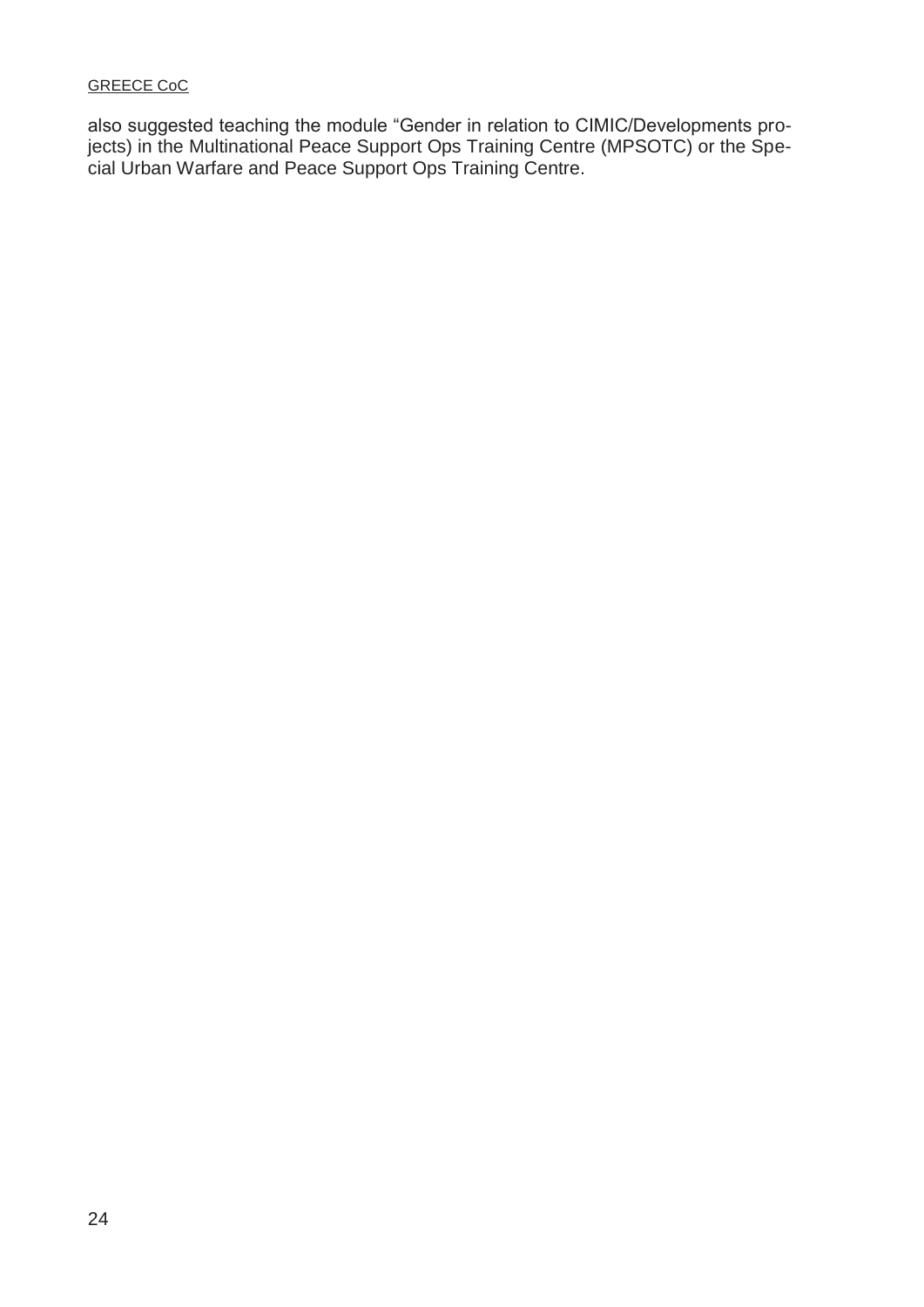also suggested teaching the module "Gender in relation to CIMIC/Developments projects) in the Multinational Peace Support Ops Training Centre (MPSOTC) or the Special Urban Warfare and Peace Support Ops Training Centre.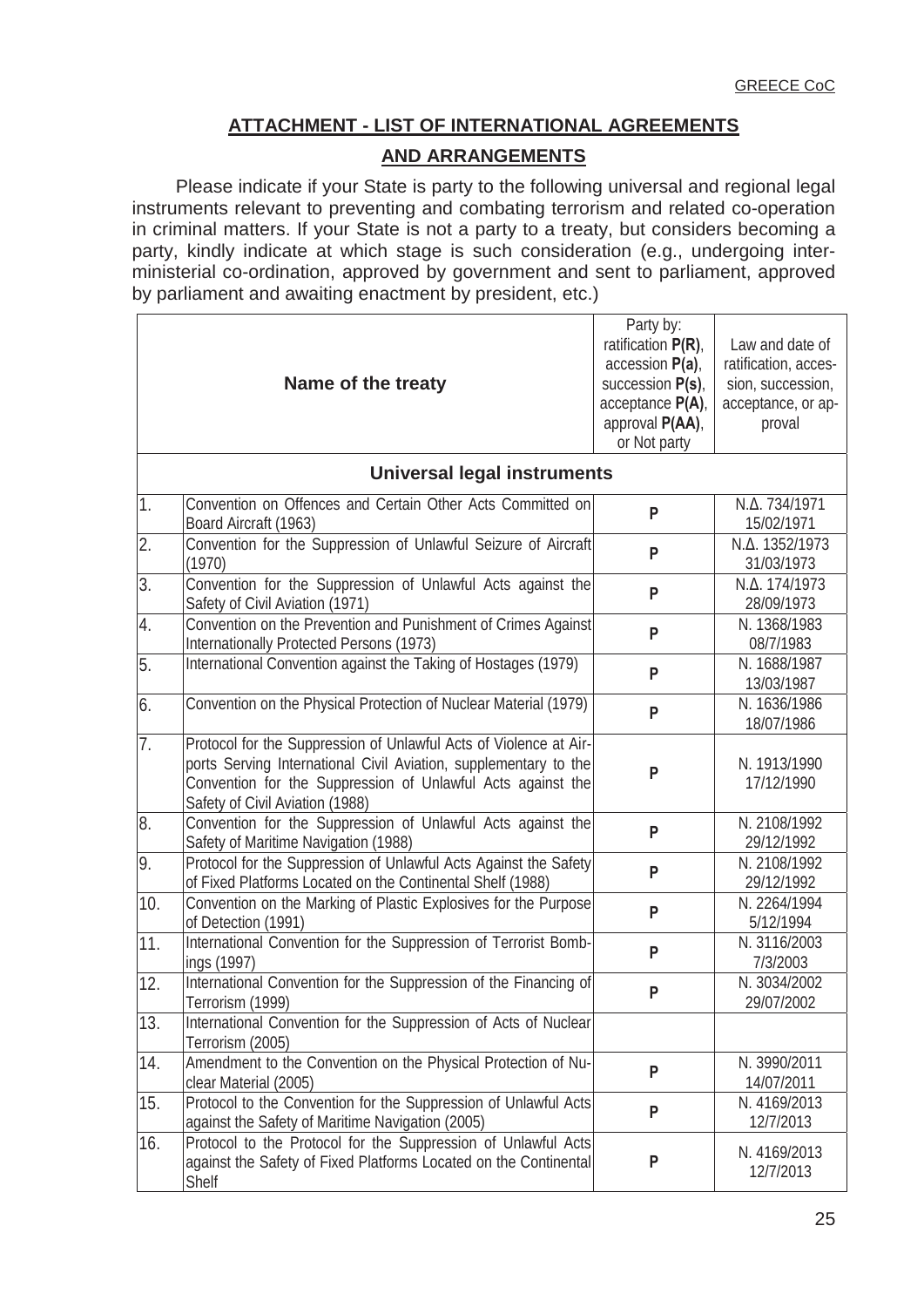## **ATTACHMENT - LIST OF INTERNATIONAL AGREEMENTS**

## **AND ARRANGEMENTS**

 Please indicate if your State is party to the following universal and regional legal instruments relevant to preventing and combating terrorism and related co-operation in criminal matters. If your State is not a party to a treaty, but considers becoming a party, kindly indicate at which stage is such consideration (e.g., undergoing interministerial co-ordination, approved by government and sent to parliament, approved by parliament and awaiting enactment by president, etc.)

|                  | Name of the treaty                                                                                                                                                                                                                      | Party by:<br>ratification $P(R)$ ,<br>accession P(a),<br>succession P(s),<br>acceptance $P(A)$ ,<br>approval P(AA),<br>or Not party | Law and date of<br>ratification, acces-<br>sion, succession,<br>acceptance, or ap-<br>proval |
|------------------|-----------------------------------------------------------------------------------------------------------------------------------------------------------------------------------------------------------------------------------------|-------------------------------------------------------------------------------------------------------------------------------------|----------------------------------------------------------------------------------------------|
|                  | <b>Universal legal instruments</b>                                                                                                                                                                                                      |                                                                                                                                     |                                                                                              |
| $\vert$ 1.       | Convention on Offences and Certain Other Acts Committed on<br>Board Aircraft (1963)                                                                                                                                                     | P                                                                                                                                   | N.Δ. 734/1971<br>15/02/1971                                                                  |
| $\overline{2}$ . | Convention for the Suppression of Unlawful Seizure of Aircraft<br>(1970)                                                                                                                                                                | P                                                                                                                                   | Ν.Δ. 1352/1973<br>31/03/1973                                                                 |
| 3.               | Convention for the Suppression of Unlawful Acts against the<br>Safety of Civil Aviation (1971)                                                                                                                                          | P                                                                                                                                   | N.Δ. 174/1973<br>28/09/1973                                                                  |
| 4.               | Convention on the Prevention and Punishment of Crimes Against<br>Internationally Protected Persons (1973)                                                                                                                               | P                                                                                                                                   | N. 1368/1983<br>08/7/1983                                                                    |
| 5.               | International Convention against the Taking of Hostages (1979)                                                                                                                                                                          | P                                                                                                                                   | N. 1688/1987<br>13/03/1987                                                                   |
| 6.               | Convention on the Physical Protection of Nuclear Material (1979)                                                                                                                                                                        | P                                                                                                                                   | N. 1636/1986<br>18/07/1986                                                                   |
| $\overline{7}$ . | Protocol for the Suppression of Unlawful Acts of Violence at Air-<br>ports Serving International Civil Aviation, supplementary to the<br>Convention for the Suppression of Unlawful Acts against the<br>Safety of Civil Aviation (1988) | P                                                                                                                                   | N. 1913/1990<br>17/12/1990                                                                   |
| 8.               | Convention for the Suppression of Unlawful Acts against the<br>Safety of Maritime Navigation (1988)                                                                                                                                     | P                                                                                                                                   | N. 2108/1992<br>29/12/1992                                                                   |
| 9.               | Protocol for the Suppression of Unlawful Acts Against the Safety<br>of Fixed Platforms Located on the Continental Shelf (1988)                                                                                                          | P                                                                                                                                   | N. 2108/1992<br>29/12/1992                                                                   |
| 10.              | Convention on the Marking of Plastic Explosives for the Purpose<br>of Detection (1991)                                                                                                                                                  | P                                                                                                                                   | N. 2264/1994<br>5/12/1994                                                                    |
| 11.              | International Convention for the Suppression of Terrorist Bomb-<br>ings (1997)                                                                                                                                                          | P                                                                                                                                   | N. 3116/2003<br>7/3/2003                                                                     |
| 12.              | International Convention for the Suppression of the Financing of<br>Terrorism (1999)                                                                                                                                                    | P                                                                                                                                   | N. 3034/2002<br>29/07/2002                                                                   |
| 13.              | International Convention for the Suppression of Acts of Nuclear<br>Terrorism (2005)                                                                                                                                                     |                                                                                                                                     |                                                                                              |
| 14.              | Amendment to the Convention on the Physical Protection of Nu-<br>clear Material (2005)                                                                                                                                                  | P                                                                                                                                   | N. 3990/2011<br>14/07/2011                                                                   |
| 15.              | Protocol to the Convention for the Suppression of Unlawful Acts<br>against the Safety of Maritime Navigation (2005)                                                                                                                     | P                                                                                                                                   | N. 4169/2013<br>12/7/2013                                                                    |
| 16.              | Protocol to the Protocol for the Suppression of Unlawful Acts<br>against the Safety of Fixed Platforms Located on the Continental<br>Shelf                                                                                              | P                                                                                                                                   | N. 4169/2013<br>12/7/2013                                                                    |